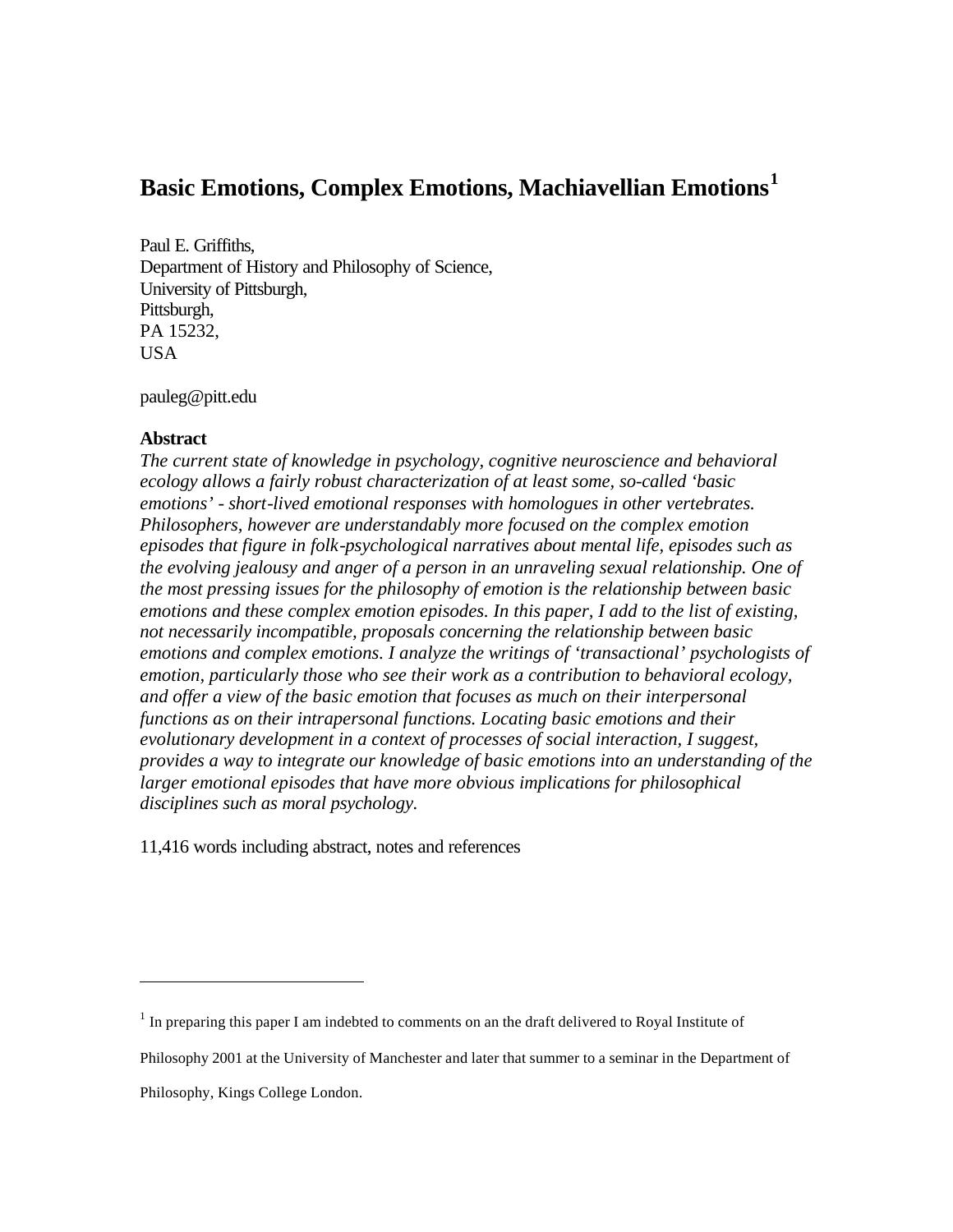# **Basic Emotions, Complex Emotions, Machiavellian Emotions<sup>1</sup>**

Paul E. Griffiths, Department of History and Philosophy of Science, University of Pittsburgh, Pittsburgh, PA 15232, USA

pauleg@pitt.edu

# **Abstract**

*The current state of knowledge in psychology, cognitive neuroscience and behavioral ecology allows a fairly robust characterization of at least some, so-called 'basic emotions' - short-lived emotional responses with homologues in other vertebrates. Philosophers, however are understandably more focused on the complex emotion episodes that figure in folk-psychological narratives about mental life, episodes such as the evolving jealousy and anger of a person in an unraveling sexual relationship. One of the most pressing issues for the philosophy of emotion is the relationship between basic emotions and these complex emotion episodes. In this paper, I add to the list of existing, not necessarily incompatible, proposals concerning the relationship between basic emotions and complex emotions. I analyze the writings of 'transactional' psychologists of emotion, particularly those who see their work as a contribution to behavioral ecology, and offer a view of the basic emotion that focuses as much on their interpersonal functions as on their intrapersonal functions. Locating basic emotions and their evolutionary development in a context of processes of social interaction, I suggest, provides a way to integrate our knowledge of basic emotions into an understanding of the larger emotional episodes that have more obvious implications for philosophical disciplines such as moral psychology.*

11,416 words including abstract, notes and references

Philosophy, Kings College London.

 $<sup>1</sup>$  In preparing this paper I am indebted to comments on an the draft delivered to Royal Institute of</sup>

Philosophy 2001 at the University of Manchester and later that summer to a seminar in the Department of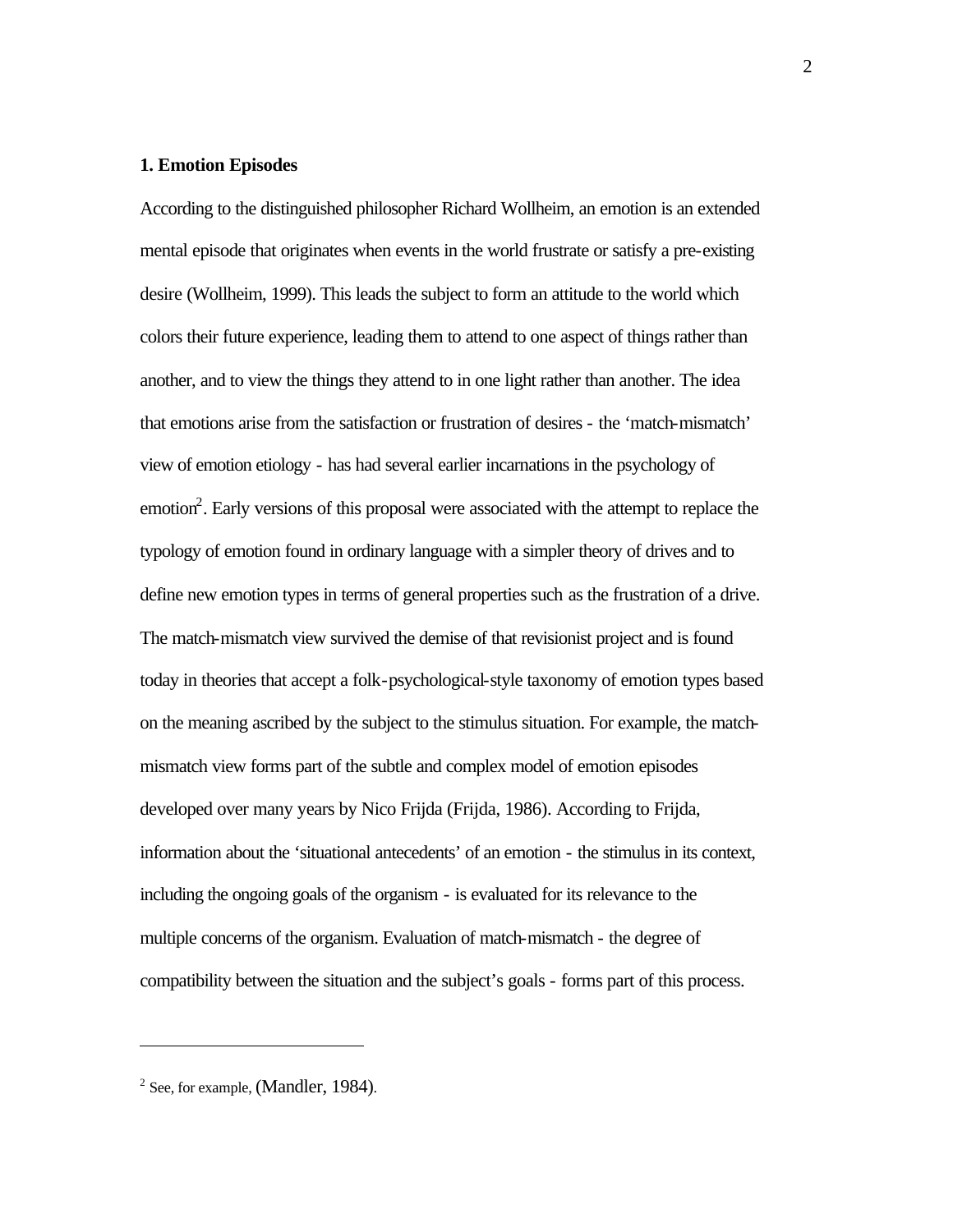# **1. Emotion Episodes**

According to the distinguished philosopher Richard Wollheim, an emotion is an extended mental episode that originates when events in the world frustrate or satisfy a pre-existing desire (Wollheim, 1999). This leads the subject to form an attitude to the world which colors their future experience, leading them to attend to one aspect of things rather than another, and to view the things they attend to in one light rather than another. The idea that emotions arise from the satisfaction or frustration of desires - the 'match-mismatch' view of emotion etiology - has had several earlier incarnations in the psychology of emotion<sup>2</sup>. Early versions of this proposal were associated with the attempt to replace the typology of emotion found in ordinary language with a simpler theory of drives and to define new emotion types in terms of general properties such as the frustration of a drive. The match-mismatch view survived the demise of that revisionist project and is found today in theories that accept a folk-psychological-style taxonomy of emotion types based on the meaning ascribed by the subject to the stimulus situation. For example, the matchmismatch view forms part of the subtle and complex model of emotion episodes developed over many years by Nico Frijda (Frijda, 1986). According to Frijda, information about the 'situational antecedents' of an emotion - the stimulus in its context, including the ongoing goals of the organism - is evaluated for its relevance to the multiple concerns of the organism. Evaluation of match-mismatch - the degree of compatibility between the situation and the subject's goals - forms part of this process.

 $2$  See, for example, (Mandler, 1984).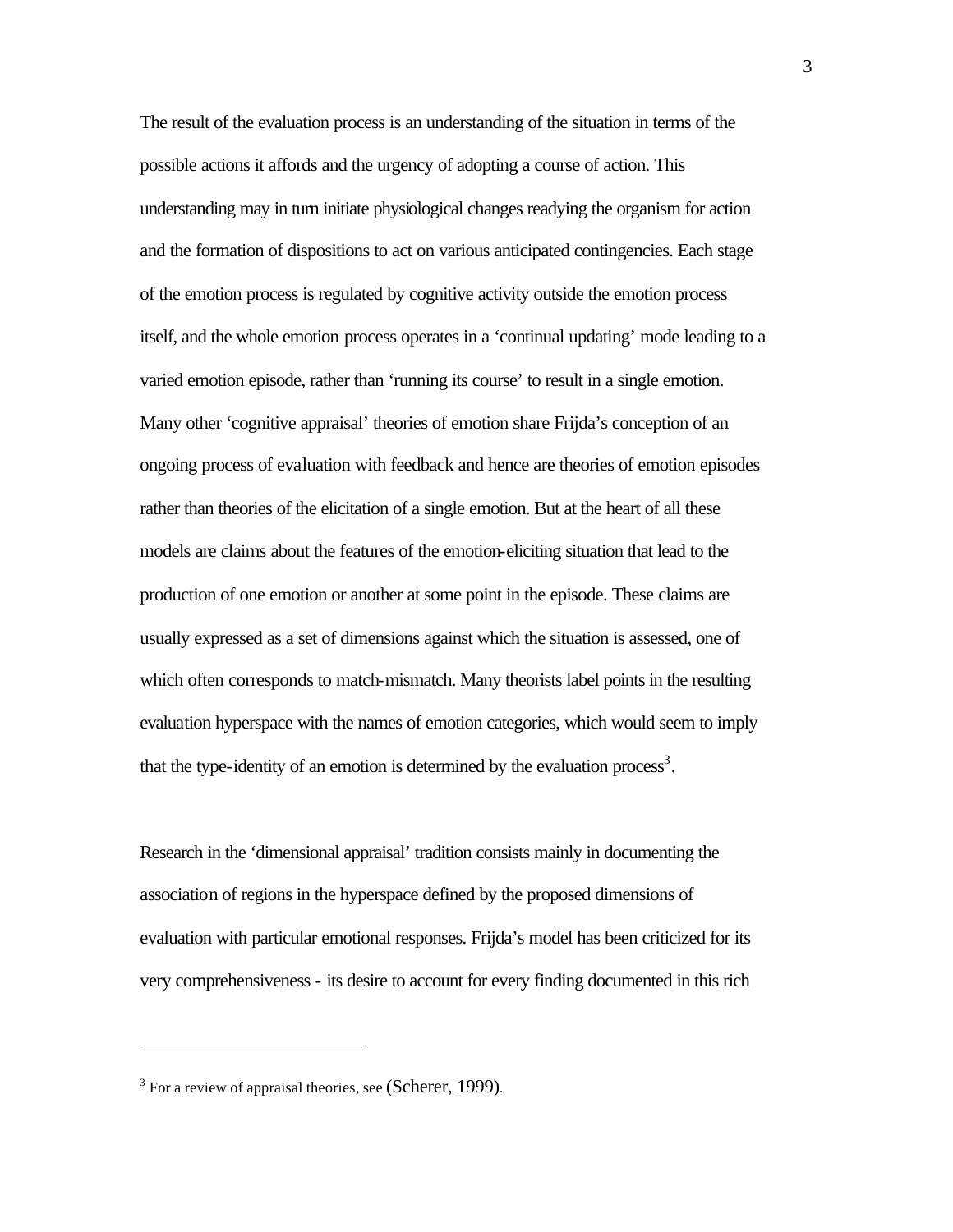The result of the evaluation process is an understanding of the situation in terms of the possible actions it affords and the urgency of adopting a course of action. This understanding may in turn initiate physiological changes readying the organism for action and the formation of dispositions to act on various anticipated contingencies. Each stage of the emotion process is regulated by cognitive activity outside the emotion process itself, and the whole emotion process operates in a 'continual updating' mode leading to a varied emotion episode, rather than 'running its course' to result in a single emotion. Many other 'cognitive appraisal' theories of emotion share Frijda's conception of an ongoing process of evaluation with feedback and hence are theories of emotion episodes rather than theories of the elicitation of a single emotion. But at the heart of all these models are claims about the features of the emotion-eliciting situation that lead to the production of one emotion or another at some point in the episode. These claims are usually expressed as a set of dimensions against which the situation is assessed, one of which often corresponds to match-mismatch. Many theorists label points in the resulting evaluation hyperspace with the names of emotion categories, which would seem to imply that the type-identity of an emotion is determined by the evaluation process<sup>3</sup>.

Research in the 'dimensional appraisal' tradition consists mainly in documenting the association of regions in the hyperspace defined by the proposed dimensions of evaluation with particular emotional responses. Frijda's model has been criticized for its very comprehensiveness - its desire to account for every finding documented in this rich

 $3$  For a review of appraisal theories, see (Scherer, 1999).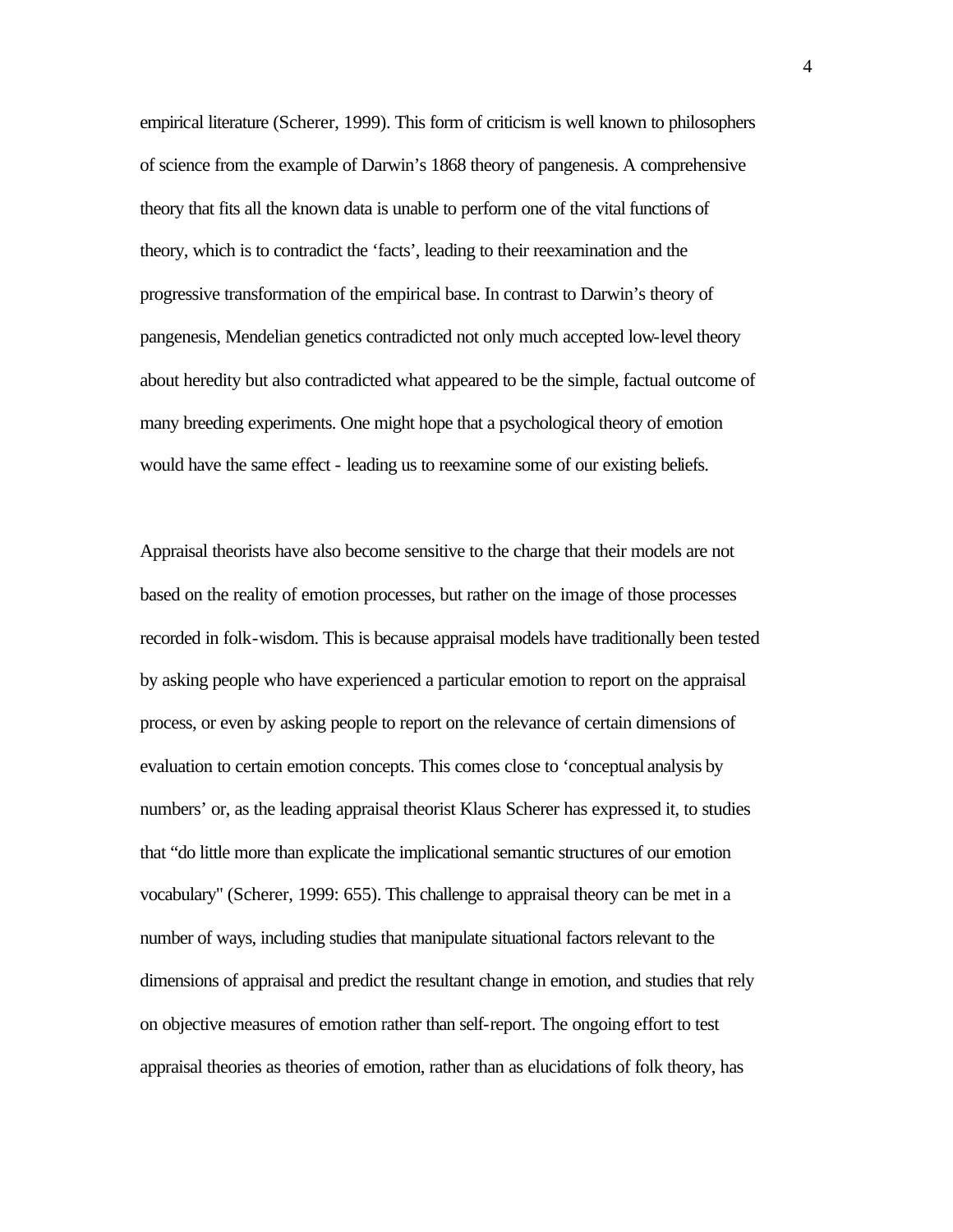empirical literature (Scherer, 1999). This form of criticism is well known to philosophers of science from the example of Darwin's 1868 theory of pangenesis. A comprehensive theory that fits all the known data is unable to perform one of the vital functions of theory, which is to contradict the 'facts', leading to their reexamination and the progressive transformation of the empirical base. In contrast to Darwin's theory of pangenesis, Mendelian genetics contradicted not only much accepted low-level theory about heredity but also contradicted what appeared to be the simple, factual outcome of many breeding experiments. One might hope that a psychological theory of emotion would have the same effect - leading us to reexamine some of our existing beliefs.

Appraisal theorists have also become sensitive to the charge that their models are not based on the reality of emotion processes, but rather on the image of those processes recorded in folk-wisdom. This is because appraisal models have traditionally been tested by asking people who have experienced a particular emotion to report on the appraisal process, or even by asking people to report on the relevance of certain dimensions of evaluation to certain emotion concepts. This comes close to 'conceptual analysis by numbers' or, as the leading appraisal theorist Klaus Scherer has expressed it, to studies that "do little more than explicate the implicational semantic structures of our emotion vocabulary" (Scherer, 1999: 655). This challenge to appraisal theory can be met in a number of ways, including studies that manipulate situational factors relevant to the dimensions of appraisal and predict the resultant change in emotion, and studies that rely on objective measures of emotion rather than self-report. The ongoing effort to test appraisal theories as theories of emotion, rather than as elucidations of folk theory, has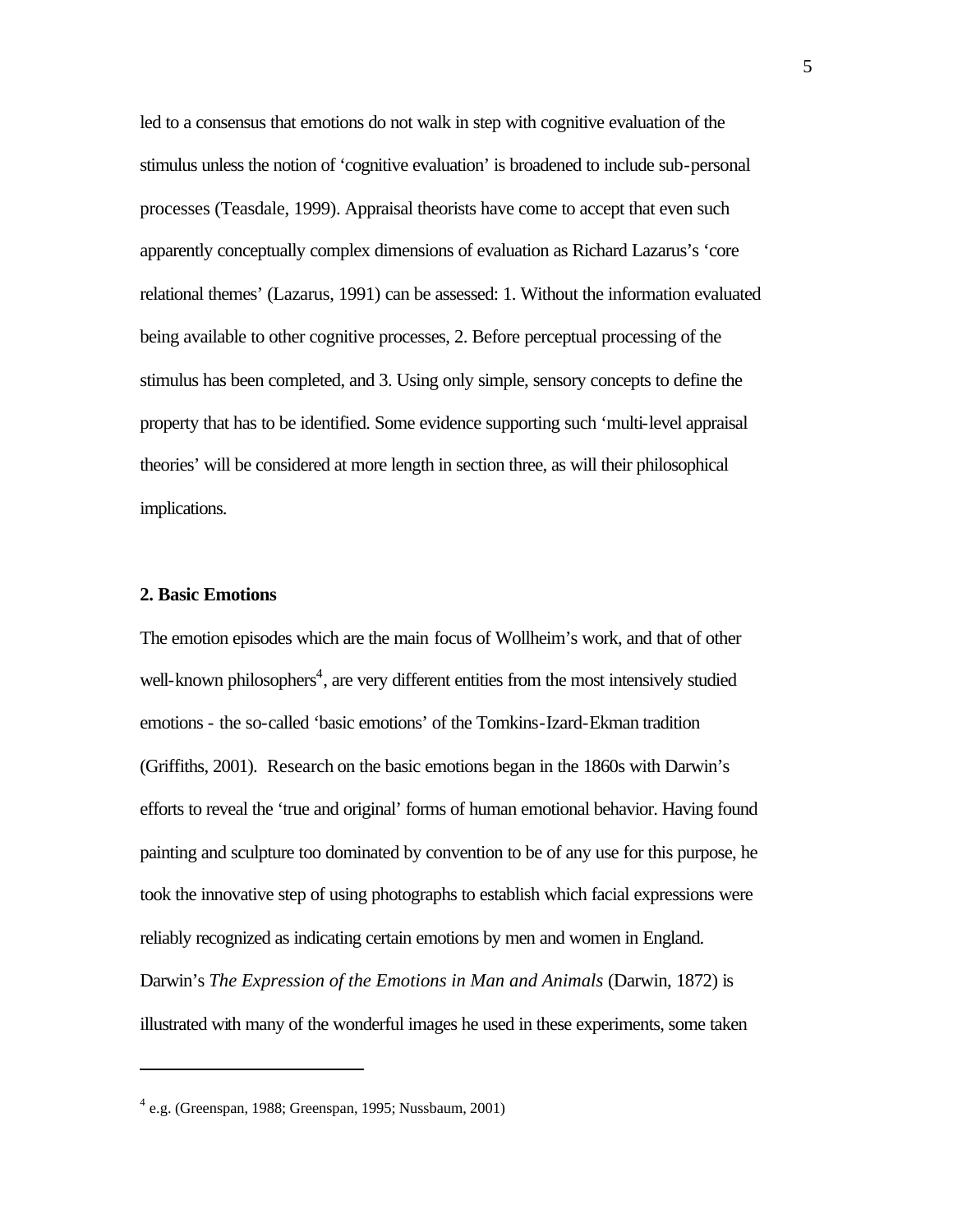led to a consensus that emotions do not walk in step with cognitive evaluation of the stimulus unless the notion of 'cognitive evaluation' is broadened to include sub-personal processes (Teasdale, 1999). Appraisal theorists have come to accept that even such apparently conceptually complex dimensions of evaluation as Richard Lazarus's 'core relational themes' (Lazarus, 1991) can be assessed: 1. Without the information evaluated being available to other cognitive processes, 2. Before perceptual processing of the stimulus has been completed, and 3. Using only simple, sensory concepts to define the property that has to be identified. Some evidence supporting such 'multi-level appraisal theories' will be considered at more length in section three, as will their philosophical implications.

## **2. Basic Emotions**

 $\overline{a}$ 

The emotion episodes which are the main focus of Wollheim's work, and that of other well-known philosophers<sup>4</sup>, are very different entities from the most intensively studied emotions - the so-called 'basic emotions' of the Tomkins-Izard-Ekman tradition (Griffiths, 2001). Research on the basic emotions began in the 1860s with Darwin's efforts to reveal the 'true and original' forms of human emotional behavior. Having found painting and sculpture too dominated by convention to be of any use for this purpose, he took the innovative step of using photographs to establish which facial expressions were reliably recognized as indicating certain emotions by men and women in England. Darwin's *The Expression of the Emotions in Man and Animals* (Darwin, 1872) is

illustrated with many of the wonderful images he used in these experiments, some taken

<sup>4</sup> e.g. (Greenspan, 1988; Greenspan, 1995; Nussbaum, 2001)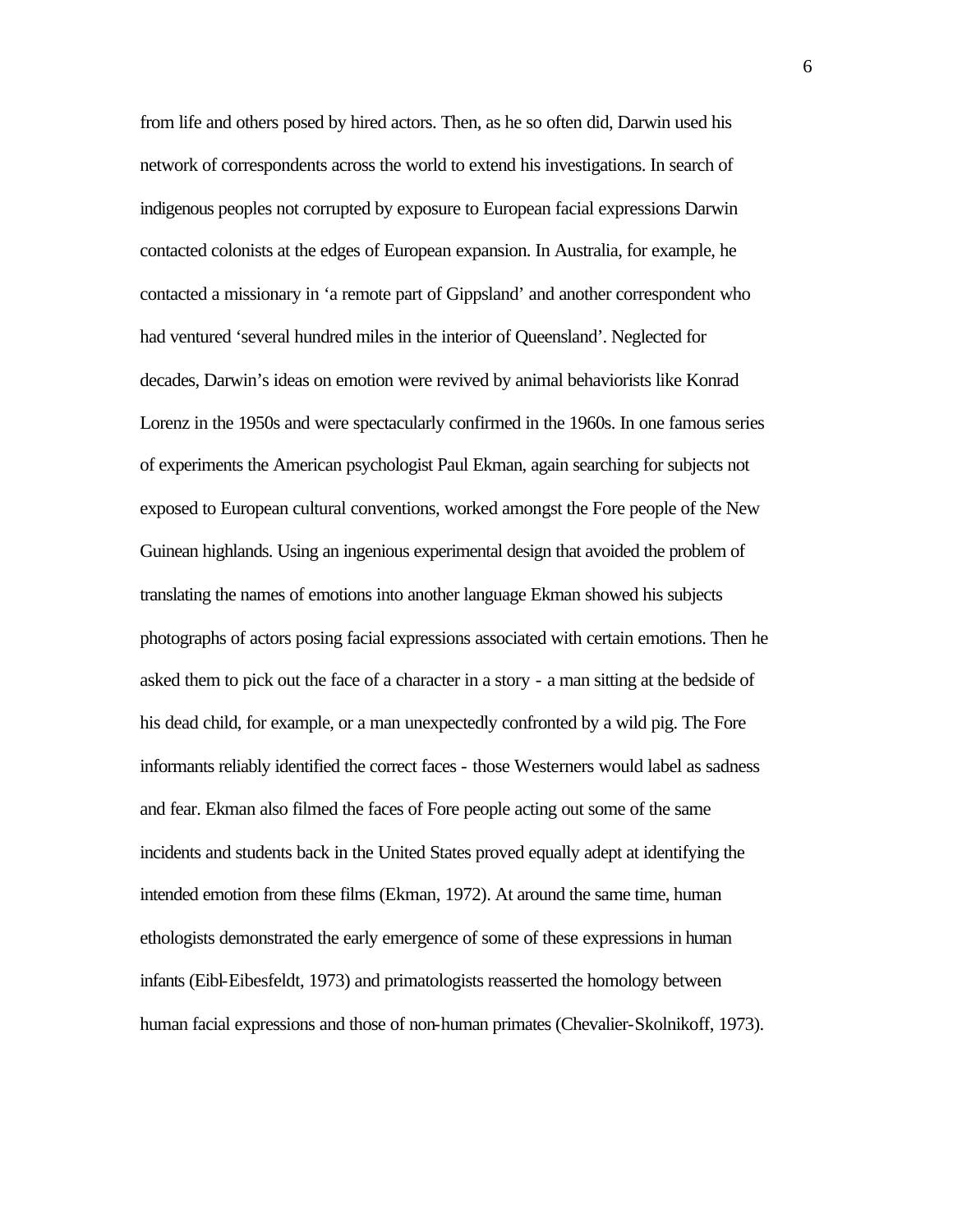from life and others posed by hired actors. Then, as he so often did, Darwin used his network of correspondents across the world to extend his investigations. In search of indigenous peoples not corrupted by exposure to European facial expressions Darwin contacted colonists at the edges of European expansion. In Australia, for example, he contacted a missionary in 'a remote part of Gippsland' and another correspondent who had ventured 'several hundred miles in the interior of Queensland'. Neglected for decades, Darwin's ideas on emotion were revived by animal behaviorists like Konrad Lorenz in the 1950s and were spectacularly confirmed in the 1960s. In one famous series of experiments the American psychologist Paul Ekman, again searching for subjects not exposed to European cultural conventions, worked amongst the Fore people of the New Guinean highlands. Using an ingenious experimental design that avoided the problem of translating the names of emotions into another language Ekman showed his subjects photographs of actors posing facial expressions associated with certain emotions. Then he asked them to pick out the face of a character in a story - a man sitting at the bedside of his dead child, for example, or a man unexpectedly confronted by a wild pig. The Fore informants reliably identified the correct faces - those Westerners would label as sadness and fear. Ekman also filmed the faces of Fore people acting out some of the same incidents and students back in the United States proved equally adept at identifying the intended emotion from these films (Ekman, 1972). At around the same time, human ethologists demonstrated the early emergence of some of these expressions in human infants (Eibl-Eibesfeldt, 1973) and primatologists reasserted the homology between human facial expressions and those of non-human primates (Chevalier-Skolnikoff, 1973).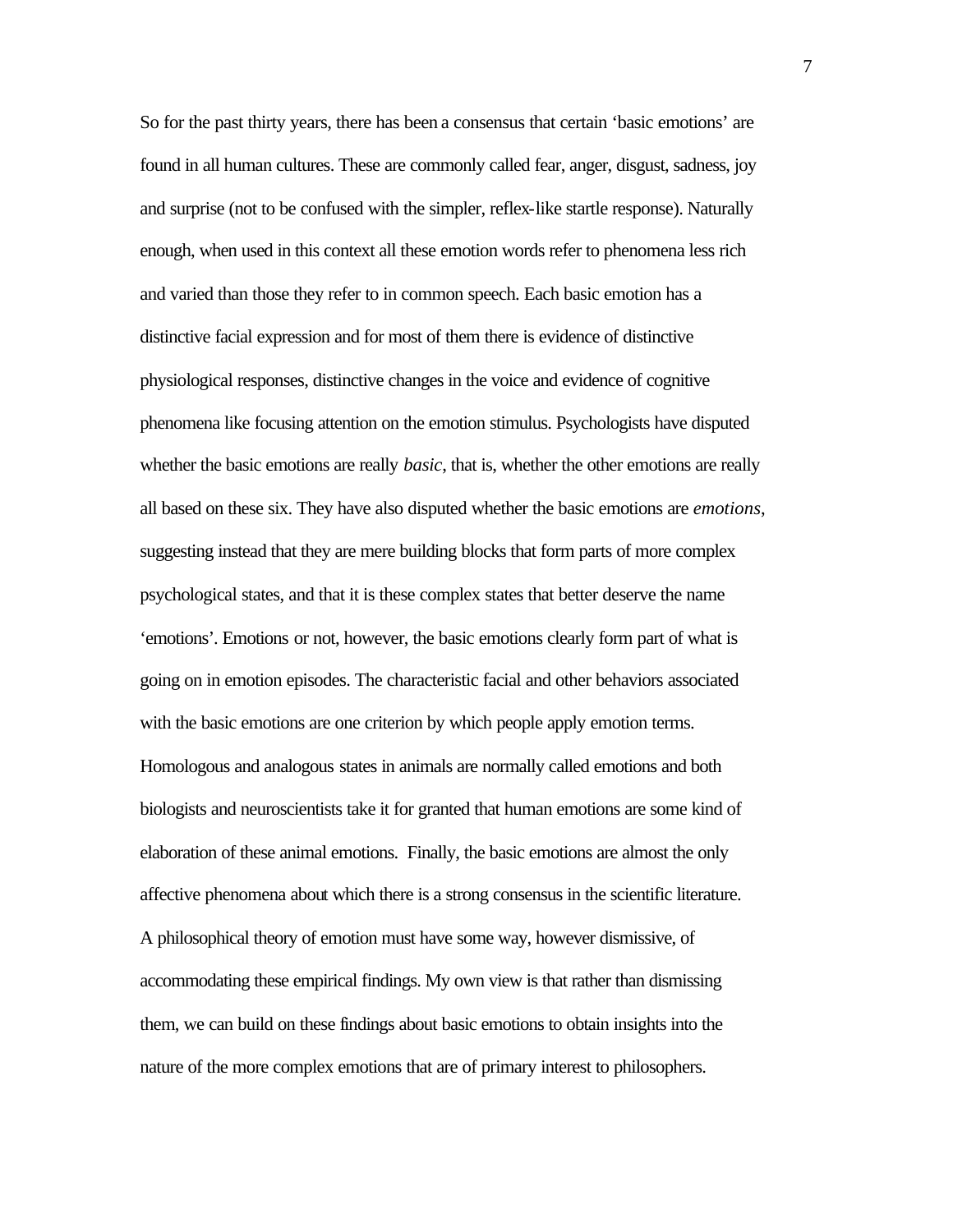So for the past thirty years, there has been a consensus that certain 'basic emotions' are found in all human cultures. These are commonly called fear, anger, disgust, sadness, joy and surprise (not to be confused with the simpler, reflex-like startle response). Naturally enough, when used in this context all these emotion words refer to phenomena less rich and varied than those they refer to in common speech. Each basic emotion has a distinctive facial expression and for most of them there is evidence of distinctive physiological responses, distinctive changes in the voice and evidence of cognitive phenomena like focusing attention on the emotion stimulus. Psychologists have disputed whether the basic emotions are really *basic*, that is, whether the other emotions are really all based on these six. They have also disputed whether the basic emotions are *emotions*, suggesting instead that they are mere building blocks that form parts of more complex psychological states, and that it is these complex states that better deserve the name 'emotions'. Emotions or not, however, the basic emotions clearly form part of what is going on in emotion episodes. The characteristic facial and other behaviors associated with the basic emotions are one criterion by which people apply emotion terms. Homologous and analogous states in animals are normally called emotions and both biologists and neuroscientists take it for granted that human emotions are some kind of elaboration of these animal emotions. Finally, the basic emotions are almost the only affective phenomena about which there is a strong consensus in the scientific literature. A philosophical theory of emotion must have some way, however dismissive, of accommodating these empirical findings. My own view is that rather than dismissing them, we can build on these findings about basic emotions to obtain insights into the nature of the more complex emotions that are of primary interest to philosophers.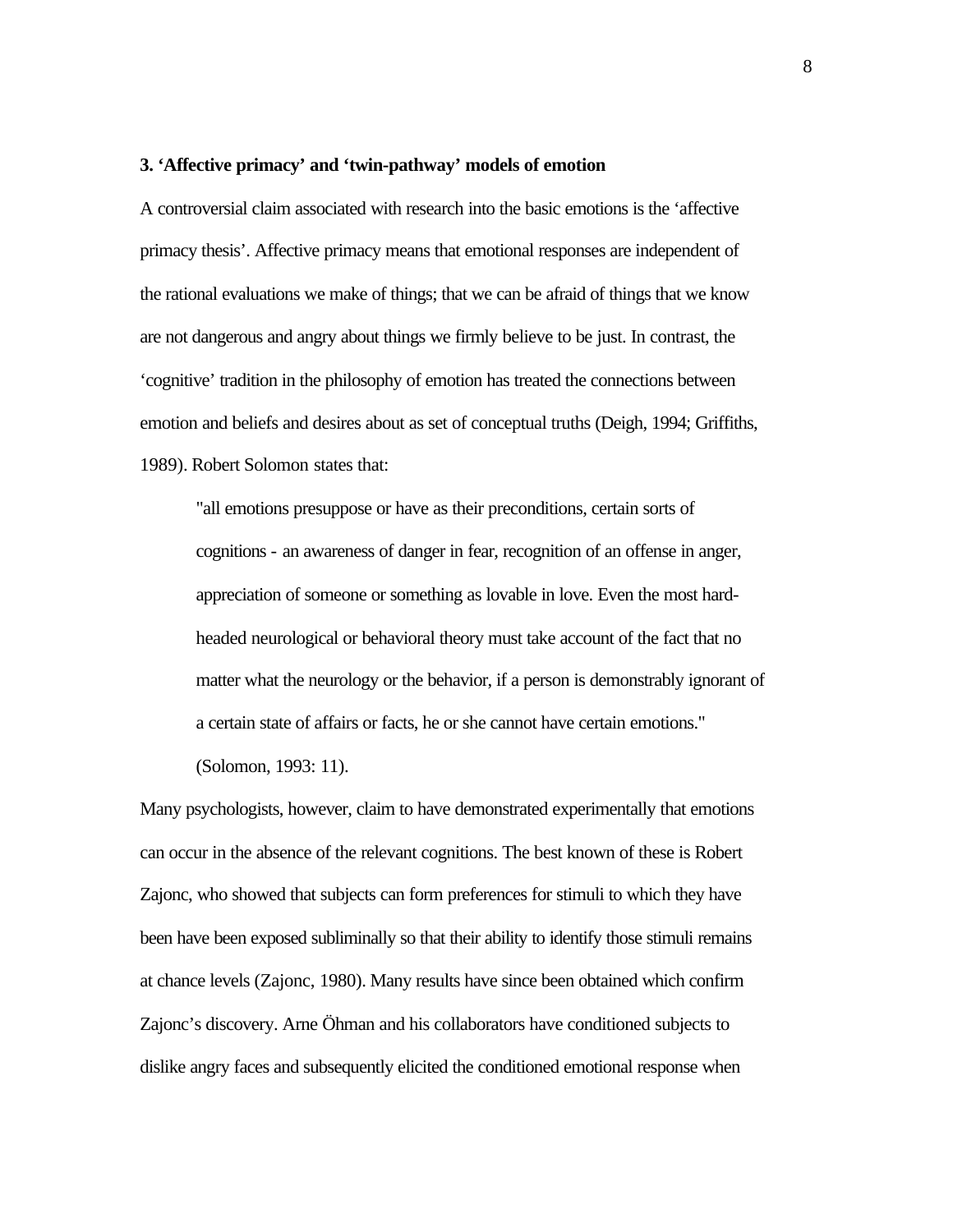#### **3. 'Affective primacy' and 'twin-pathway' models of emotion**

A controversial claim associated with research into the basic emotions is the 'affective primacy thesis'. Affective primacy means that emotional responses are independent of the rational evaluations we make of things; that we can be afraid of things that we know are not dangerous and angry about things we firmly believe to be just. In contrast, the 'cognitive' tradition in the philosophy of emotion has treated the connections between emotion and beliefs and desires about as set of conceptual truths (Deigh, 1994; Griffiths, 1989). Robert Solomon states that:

"all emotions presuppose or have as their preconditions, certain sorts of cognitions - an awareness of danger in fear, recognition of an offense in anger, appreciation of someone or something as lovable in love. Even the most hardheaded neurological or behavioral theory must take account of the fact that no matter what the neurology or the behavior, if a person is demonstrably ignorant of a certain state of affairs or facts, he or she cannot have certain emotions."

(Solomon, 1993: 11).

Many psychologists, however, claim to have demonstrated experimentally that emotions can occur in the absence of the relevant cognitions. The best known of these is Robert Zajonc, who showed that subjects can form preferences for stimuli to which they have been have been exposed subliminally so that their ability to identify those stimuli remains at chance levels (Zajonc, 1980). Many results have since been obtained which confirm Zajonc's discovery. Arne Öhman and his collaborators have conditioned subjects to dislike angry faces and subsequently elicited the conditioned emotional response when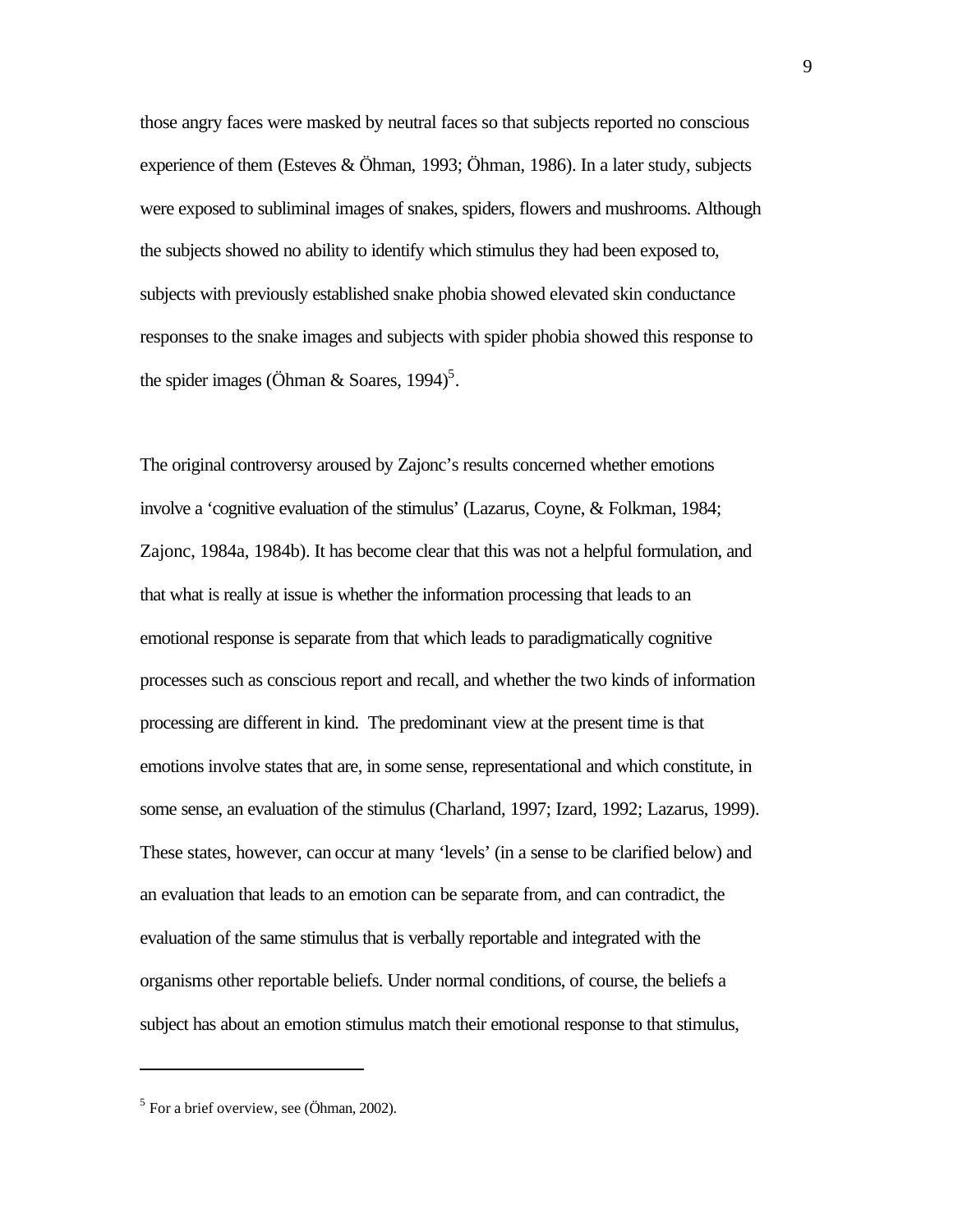those angry faces were masked by neutral faces so that subjects reported no conscious experience of them (Esteves & Öhman, 1993; Öhman, 1986). In a later study, subjects were exposed to subliminal images of snakes, spiders, flowers and mushrooms. Although the subjects showed no ability to identify which stimulus they had been exposed to, subjects with previously established snake phobia showed elevated skin conductance responses to the snake images and subjects with spider phobia showed this response to the spider images (Öhman & Soares,  $1994$ )<sup>5</sup>.

The original controversy aroused by Zajonc's results concerned whether emotions involve a 'cognitive evaluation of the stimulus' (Lazarus, Coyne, & Folkman, 1984; Zajonc, 1984a, 1984b). It has become clear that this was not a helpful formulation, and that what is really at issue is whether the information processing that leads to an emotional response is separate from that which leads to paradigmatically cognitive processes such as conscious report and recall, and whether the two kinds of information processing are different in kind. The predominant view at the present time is that emotions involve states that are, in some sense, representational and which constitute, in some sense, an evaluation of the stimulus (Charland, 1997; Izard, 1992; Lazarus, 1999). These states, however, can occur at many 'levels' (in a sense to be clarified below) and an evaluation that leads to an emotion can be separate from, and can contradict, the evaluation of the same stimulus that is verbally reportable and integrated with the organisms other reportable beliefs. Under normal conditions, of course, the beliefs a subject has about an emotion stimulus match their emotional response to that stimulus,

<sup>&</sup>lt;sup>5</sup> For a brief overview, see (Öhman, 2002).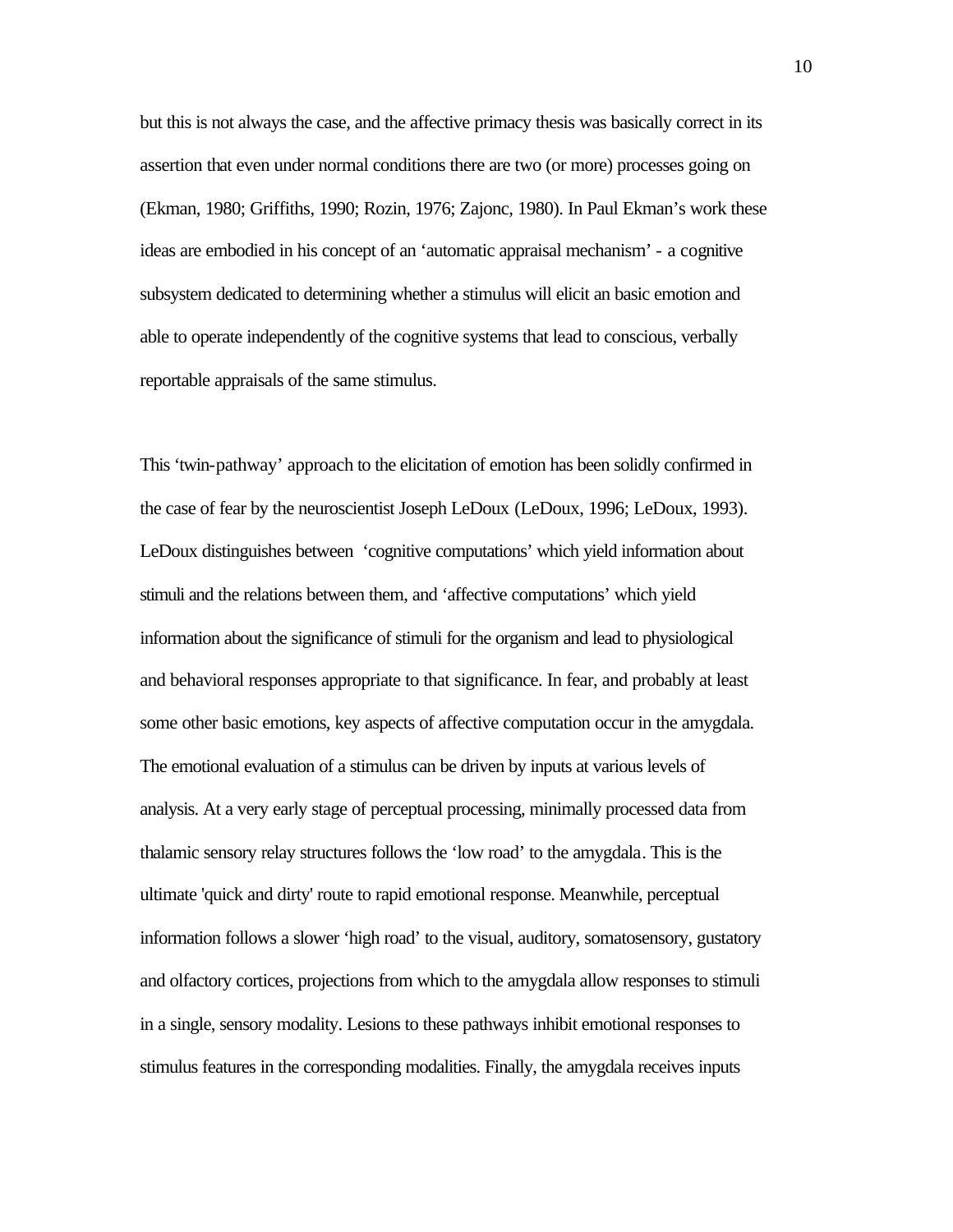but this is not always the case, and the affective primacy thesis was basically correct in its assertion that even under normal conditions there are two (or more) processes going on (Ekman, 1980; Griffiths, 1990; Rozin, 1976; Zajonc, 1980). In Paul Ekman's work these ideas are embodied in his concept of an 'automatic appraisal mechanism' - a cognitive subsystem dedicated to determining whether a stimulus will elicit an basic emotion and able to operate independently of the cognitive systems that lead to conscious, verbally reportable appraisals of the same stimulus.

This 'twin-pathway' approach to the elicitation of emotion has been solidly confirmed in the case of fear by the neuroscientist Joseph LeDoux (LeDoux, 1996; LeDoux, 1993). LeDoux distinguishes between 'cognitive computations' which yield information about stimuli and the relations between them, and 'affective computations' which yield information about the significance of stimuli for the organism and lead to physiological and behavioral responses appropriate to that significance. In fear, and probably at least some other basic emotions, key aspects of affective computation occur in the amygdala. The emotional evaluation of a stimulus can be driven by inputs at various levels of analysis. At a very early stage of perceptual processing, minimally processed data from thalamic sensory relay structures follows the 'low road' to the amygdala. This is the ultimate 'quick and dirty' route to rapid emotional response. Meanwhile, perceptual information follows a slower 'high road' to the visual, auditory, somatosensory, gustatory and olfactory cortices, projections from which to the amygdala allow responses to stimuli in a single, sensory modality. Lesions to these pathways inhibit emotional responses to stimulus features in the corresponding modalities. Finally, the amygdala receives inputs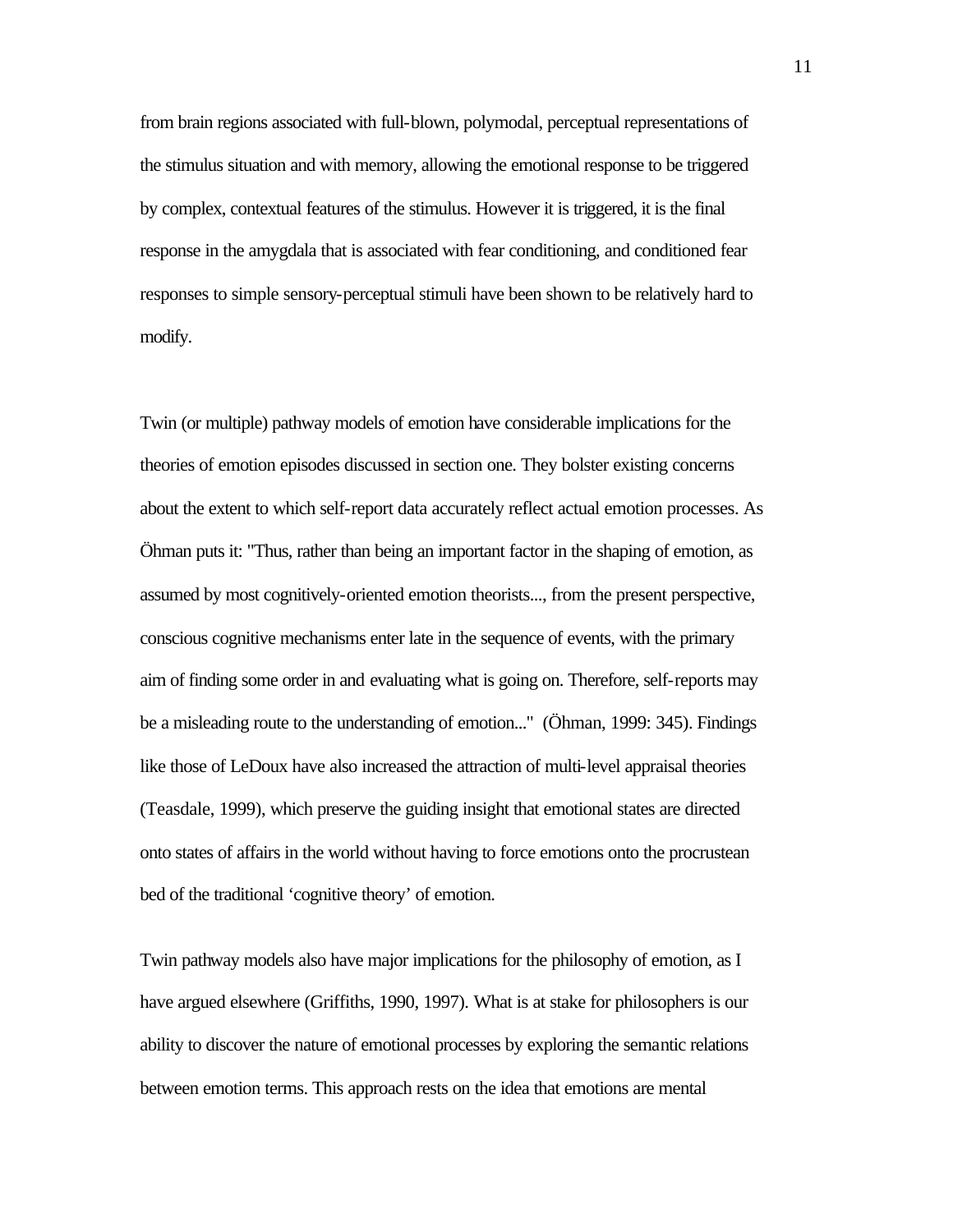from brain regions associated with full-blown, polymodal, perceptual representations of the stimulus situation and with memory, allowing the emotional response to be triggered by complex, contextual features of the stimulus. However it is triggered, it is the final response in the amygdala that is associated with fear conditioning, and conditioned fear responses to simple sensory-perceptual stimuli have been shown to be relatively hard to modify.

Twin (or multiple) pathway models of emotion have considerable implications for the theories of emotion episodes discussed in section one. They bolster existing concerns about the extent to which self-report data accurately reflect actual emotion processes. As Öhman puts it: "Thus, rather than being an important factor in the shaping of emotion, as assumed by most cognitively-oriented emotion theorists..., from the present perspective, conscious cognitive mechanisms enter late in the sequence of events, with the primary aim of finding some order in and evaluating what is going on. Therefore, self-reports may be a misleading route to the understanding of emotion..." (Öhman, 1999: 345). Findings like those of LeDoux have also increased the attraction of multi-level appraisal theories (Teasdale, 1999), which preserve the guiding insight that emotional states are directed onto states of affairs in the world without having to force emotions onto the procrustean bed of the traditional 'cognitive theory' of emotion.

Twin pathway models also have major implications for the philosophy of emotion, as I have argued elsewhere (Griffiths, 1990, 1997). What is at stake for philosophers is our ability to discover the nature of emotional processes by exploring the semantic relations between emotion terms. This approach rests on the idea that emotions are mental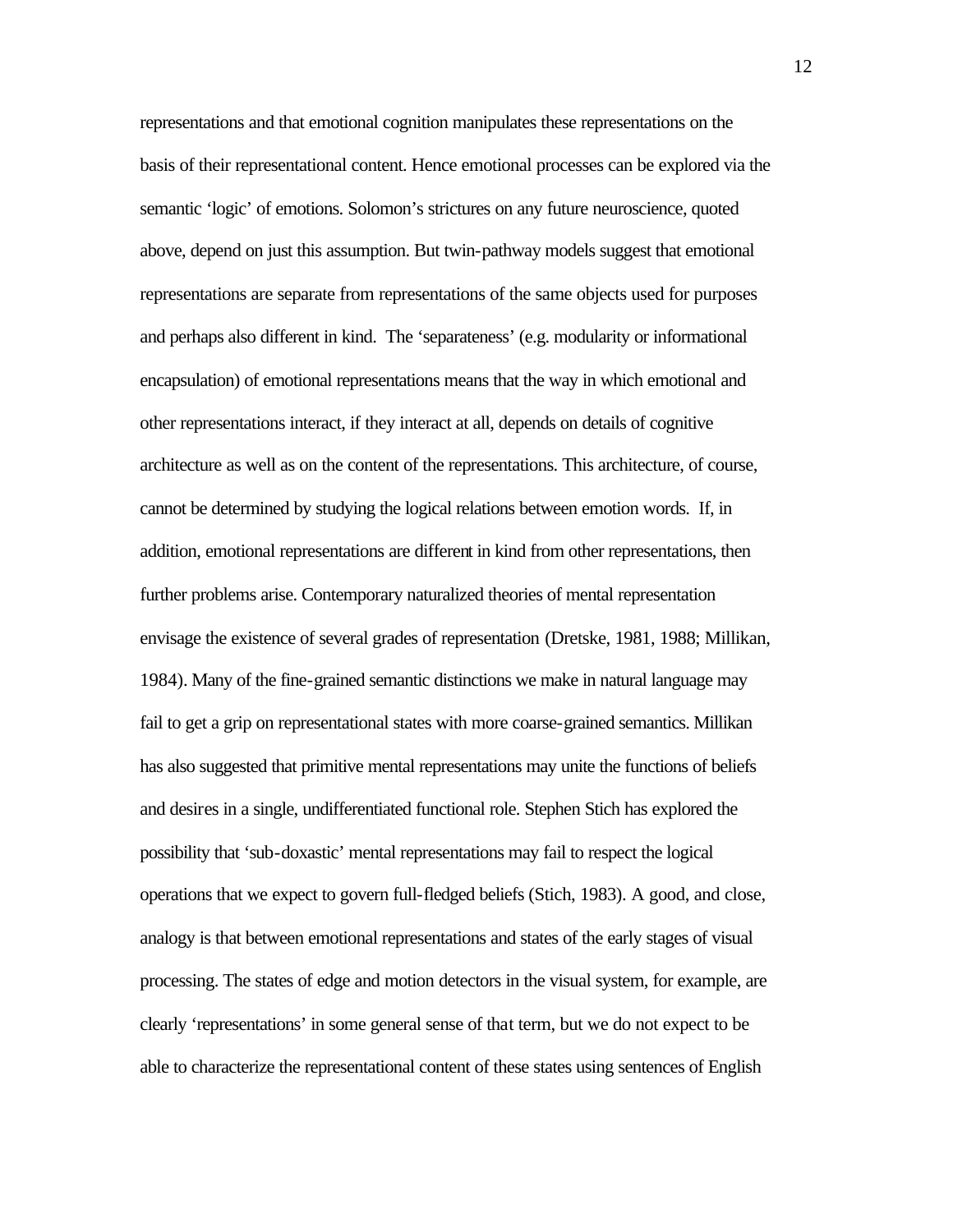representations and that emotional cognition manipulates these representations on the basis of their representational content. Hence emotional processes can be explored via the semantic 'logic' of emotions. Solomon's strictures on any future neuroscience, quoted above, depend on just this assumption. But twin-pathway models suggest that emotional representations are separate from representations of the same objects used for purposes and perhaps also different in kind. The 'separateness' (e.g. modularity or informational encapsulation) of emotional representations means that the way in which emotional and other representations interact, if they interact at all, depends on details of cognitive architecture as well as on the content of the representations. This architecture, of course, cannot be determined by studying the logical relations between emotion words. If, in addition, emotional representations are different in kind from other representations, then further problems arise. Contemporary naturalized theories of mental representation envisage the existence of several grades of representation (Dretske, 1981, 1988; Millikan, 1984). Many of the fine-grained semantic distinctions we make in natural language may fail to get a grip on representational states with more coarse-grained semantics. Millikan has also suggested that primitive mental representations may unite the functions of beliefs and desires in a single, undifferentiated functional role. Stephen Stich has explored the possibility that 'sub-doxastic' mental representations may fail to respect the logical operations that we expect to govern full-fledged beliefs (Stich, 1983). A good, and close, analogy is that between emotional representations and states of the early stages of visual processing. The states of edge and motion detectors in the visual system, for example, are clearly 'representations' in some general sense of that term, but we do not expect to be able to characterize the representational content of these states using sentences of English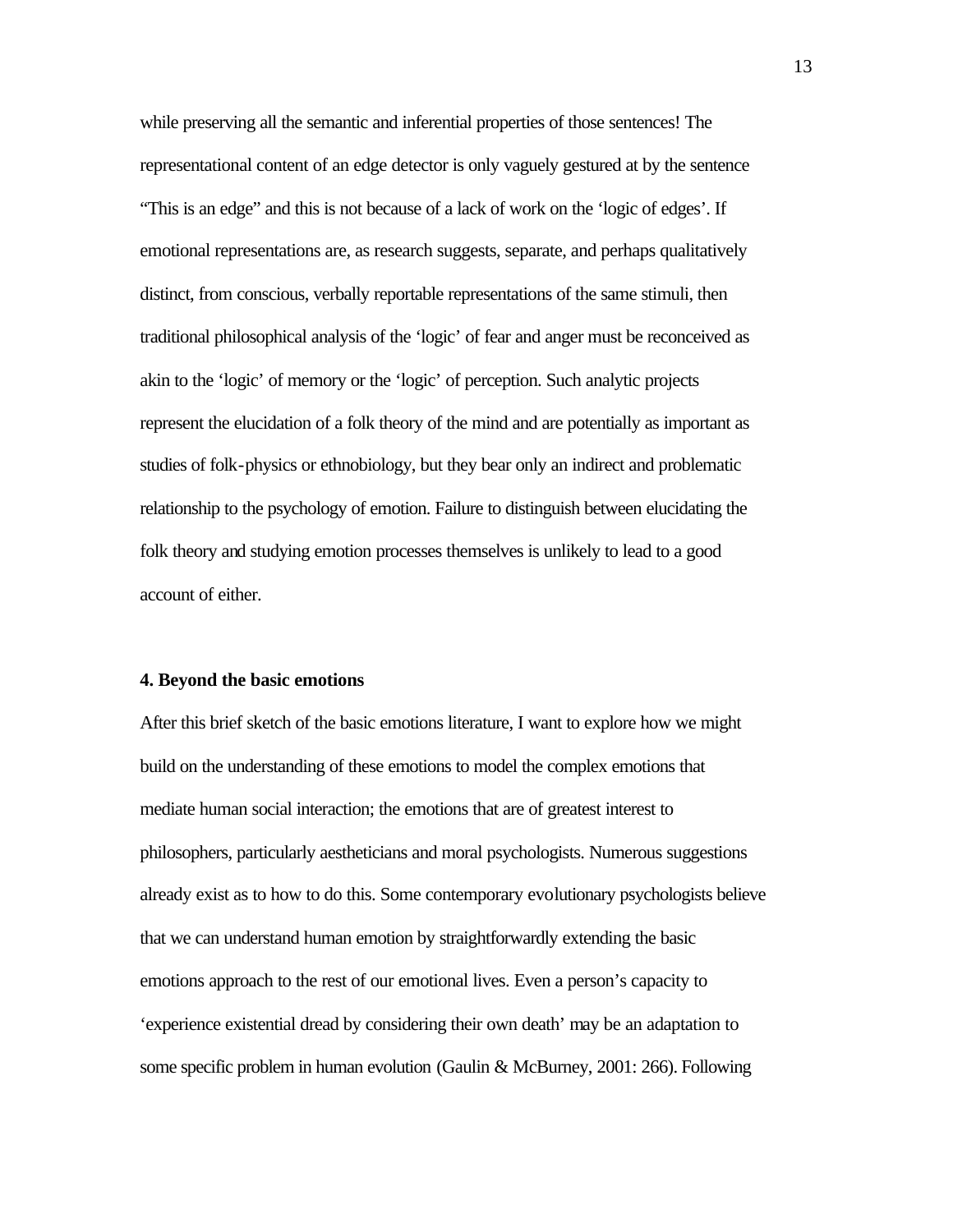while preserving all the semantic and inferential properties of those sentences! The representational content of an edge detector is only vaguely gestured at by the sentence "This is an edge" and this is not because of a lack of work on the 'logic of edges'. If emotional representations are, as research suggests, separate, and perhaps qualitatively distinct, from conscious, verbally reportable representations of the same stimuli, then traditional philosophical analysis of the 'logic' of fear and anger must be reconceived as akin to the 'logic' of memory or the 'logic' of perception. Such analytic projects represent the elucidation of a folk theory of the mind and are potentially as important as studies of folk-physics or ethnobiology, but they bear only an indirect and problematic relationship to the psychology of emotion. Failure to distinguish between elucidating the folk theory and studying emotion processes themselves is unlikely to lead to a good account of either.

#### **4. Beyond the basic emotions**

After this brief sketch of the basic emotions literature, I want to explore how we might build on the understanding of these emotions to model the complex emotions that mediate human social interaction; the emotions that are of greatest interest to philosophers, particularly aestheticians and moral psychologists. Numerous suggestions already exist as to how to do this. Some contemporary evolutionary psychologists believe that we can understand human emotion by straightforwardly extending the basic emotions approach to the rest of our emotional lives. Even a person's capacity to 'experience existential dread by considering their own death' may be an adaptation to some specific problem in human evolution (Gaulin & McBurney, 2001: 266). Following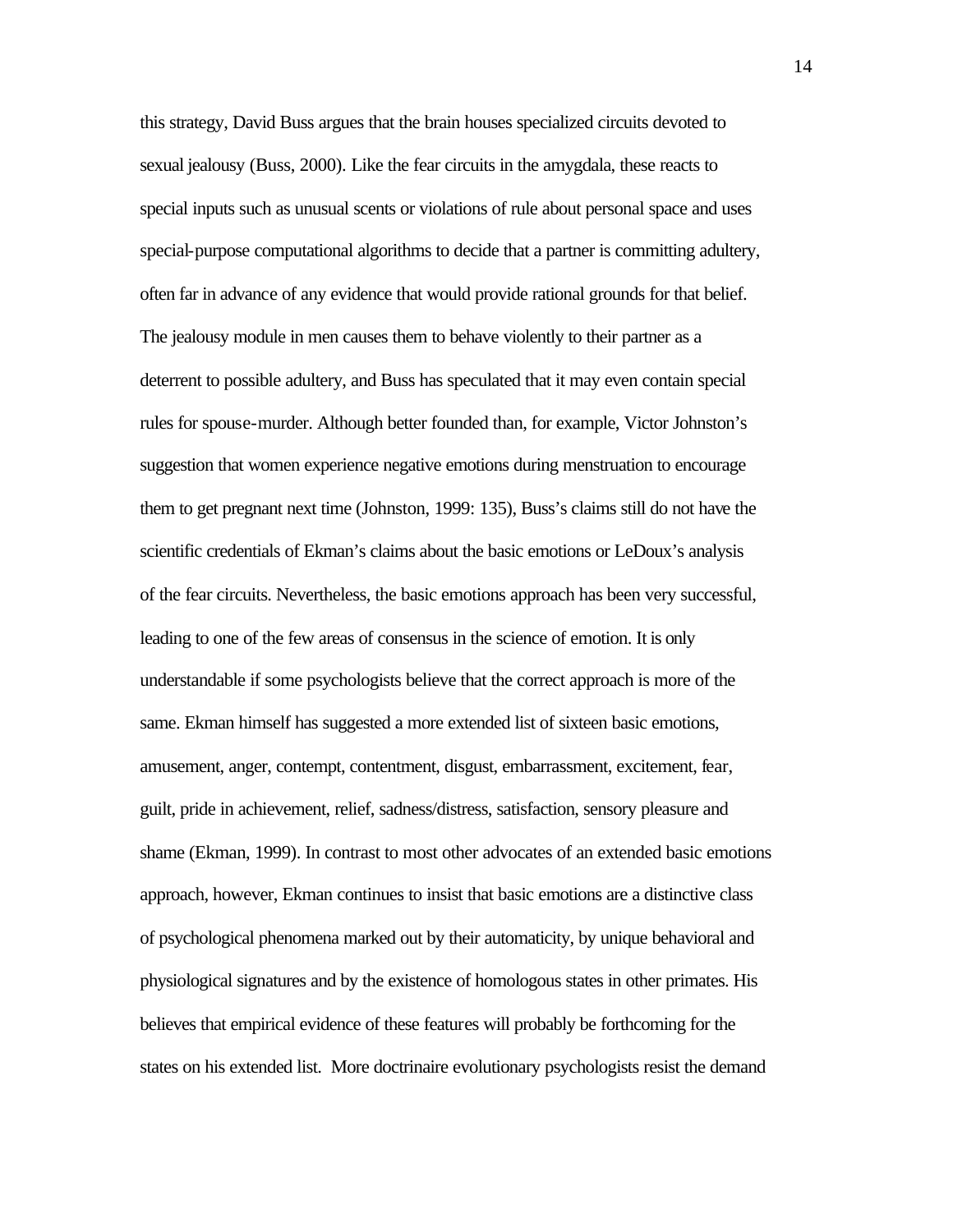this strategy, David Buss argues that the brain houses specialized circuits devoted to sexual jealousy (Buss, 2000). Like the fear circuits in the amygdala, these reacts to special inputs such as unusual scents or violations of rule about personal space and uses special-purpose computational algorithms to decide that a partner is committing adultery, often far in advance of any evidence that would provide rational grounds for that belief. The jealousy module in men causes them to behave violently to their partner as a deterrent to possible adultery, and Buss has speculated that it may even contain special rules for spouse-murder. Although better founded than, for example, Victor Johnston's suggestion that women experience negative emotions during menstruation to encourage them to get pregnant next time (Johnston, 1999: 135), Buss's claims still do not have the scientific credentials of Ekman's claims about the basic emotions or LeDoux's analysis of the fear circuits. Nevertheless, the basic emotions approach has been very successful, leading to one of the few areas of consensus in the science of emotion. It is only understandable if some psychologists believe that the correct approach is more of the same. Ekman himself has suggested a more extended list of sixteen basic emotions, amusement, anger, contempt, contentment, disgust, embarrassment, excitement, fear, guilt, pride in achievement, relief, sadness/distress, satisfaction, sensory pleasure and shame (Ekman, 1999). In contrast to most other advocates of an extended basic emotions approach, however, Ekman continues to insist that basic emotions are a distinctive class of psychological phenomena marked out by their automaticity, by unique behavioral and physiological signatures and by the existence of homologous states in other primates. His believes that empirical evidence of these features will probably be forthcoming for the states on his extended list. More doctrinaire evolutionary psychologists resist the demand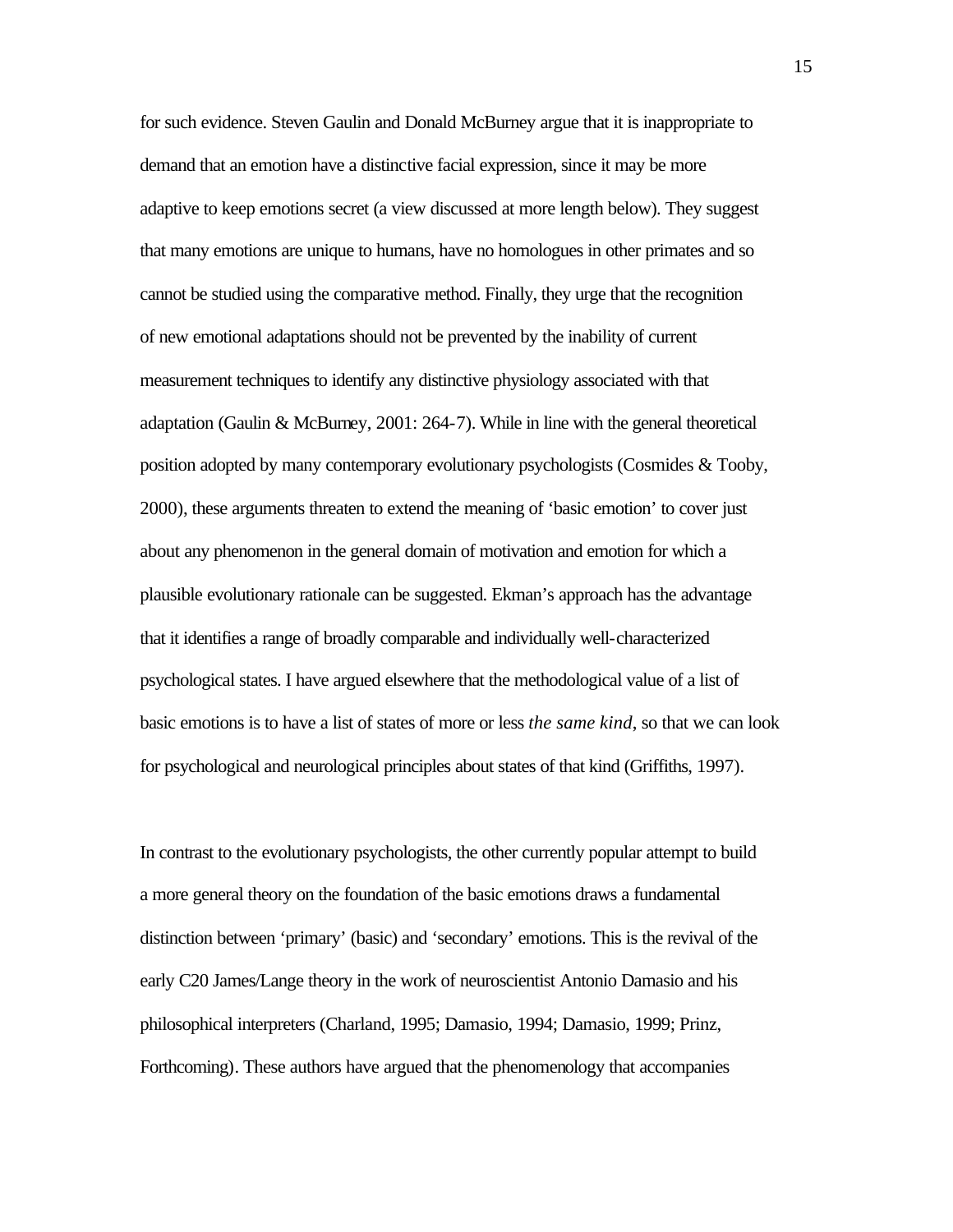for such evidence. Steven Gaulin and Donald McBurney argue that it is inappropriate to demand that an emotion have a distinctive facial expression, since it may be more adaptive to keep emotions secret (a view discussed at more length below). They suggest that many emotions are unique to humans, have no homologues in other primates and so cannot be studied using the comparative method. Finally, they urge that the recognition of new emotional adaptations should not be prevented by the inability of current measurement techniques to identify any distinctive physiology associated with that adaptation (Gaulin & McBurney, 2001: 264-7). While in line with the general theoretical position adopted by many contemporary evolutionary psychologists (Cosmides & Tooby, 2000), these arguments threaten to extend the meaning of 'basic emotion' to cover just about any phenomenon in the general domain of motivation and emotion for which a plausible evolutionary rationale can be suggested. Ekman's approach has the advantage that it identifies a range of broadly comparable and individually well-characterized psychological states. I have argued elsewhere that the methodological value of a list of basic emotions is to have a list of states of more or less *the same kind*, so that we can look for psychological and neurological principles about states of that kind (Griffiths, 1997).

In contrast to the evolutionary psychologists, the other currently popular attempt to build a more general theory on the foundation of the basic emotions draws a fundamental distinction between 'primary' (basic) and 'secondary' emotions. This is the revival of the early C20 James/Lange theory in the work of neuroscientist Antonio Damasio and his philosophical interpreters (Charland, 1995; Damasio, 1994; Damasio, 1999; Prinz, Forthcoming). These authors have argued that the phenomenology that accompanies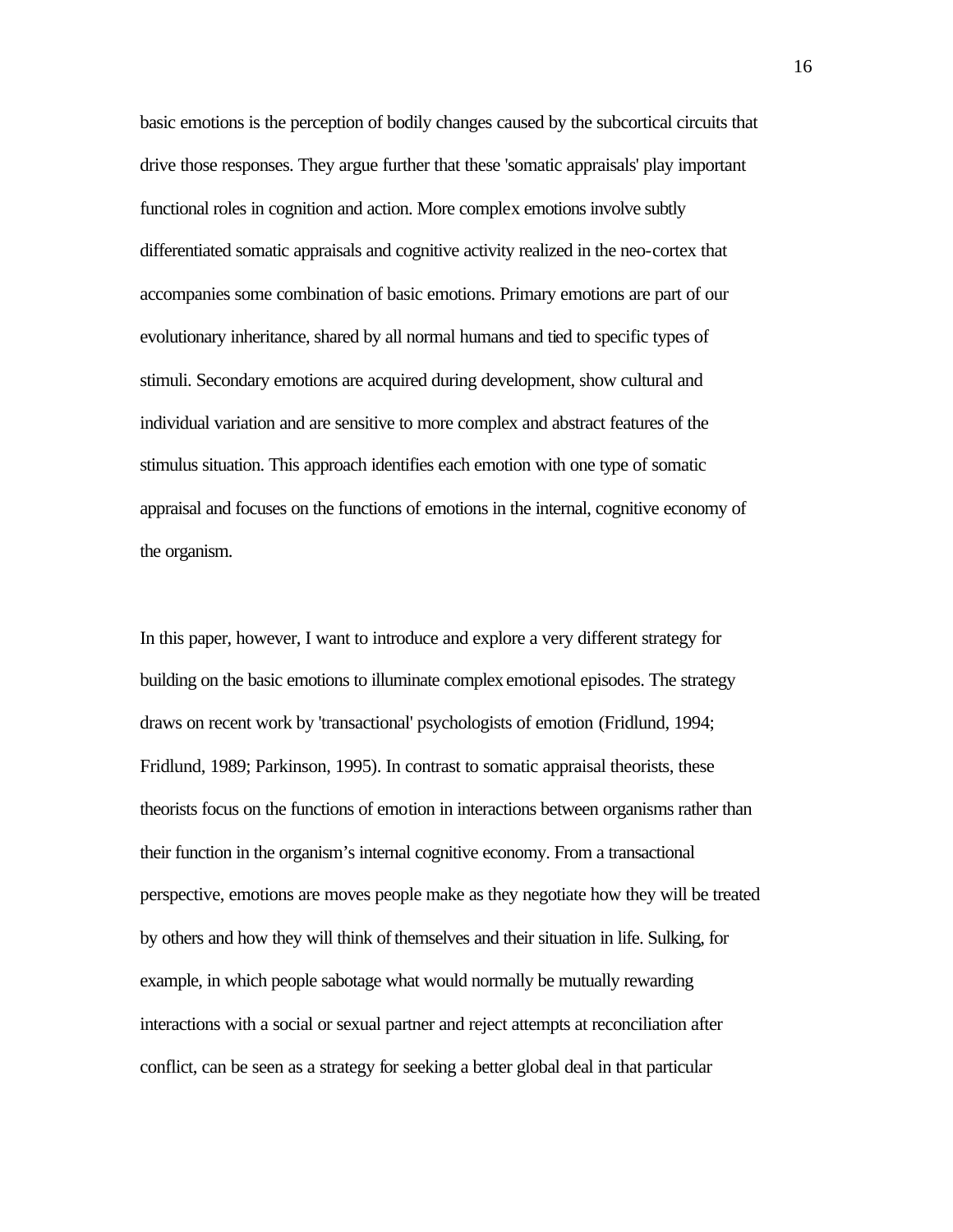basic emotions is the perception of bodily changes caused by the subcortical circuits that drive those responses. They argue further that these 'somatic appraisals' play important functional roles in cognition and action. More complex emotions involve subtly differentiated somatic appraisals and cognitive activity realized in the neo-cortex that accompanies some combination of basic emotions. Primary emotions are part of our evolutionary inheritance, shared by all normal humans and tied to specific types of stimuli. Secondary emotions are acquired during development, show cultural and individual variation and are sensitive to more complex and abstract features of the stimulus situation. This approach identifies each emotion with one type of somatic appraisal and focuses on the functions of emotions in the internal, cognitive economy of the organism.

In this paper, however, I want to introduce and explore a very different strategy for building on the basic emotions to illuminate complex emotional episodes. The strategy draws on recent work by 'transactional' psychologists of emotion (Fridlund, 1994; Fridlund, 1989; Parkinson, 1995). In contrast to somatic appraisal theorists, these theorists focus on the functions of emotion in interactions between organisms rather than their function in the organism's internal cognitive economy. From a transactional perspective, emotions are moves people make as they negotiate how they will be treated by others and how they will think of themselves and their situation in life. Sulking, for example, in which people sabotage what would normally be mutually rewarding interactions with a social or sexual partner and reject attempts at reconciliation after conflict, can be seen as a strategy for seeking a better global deal in that particular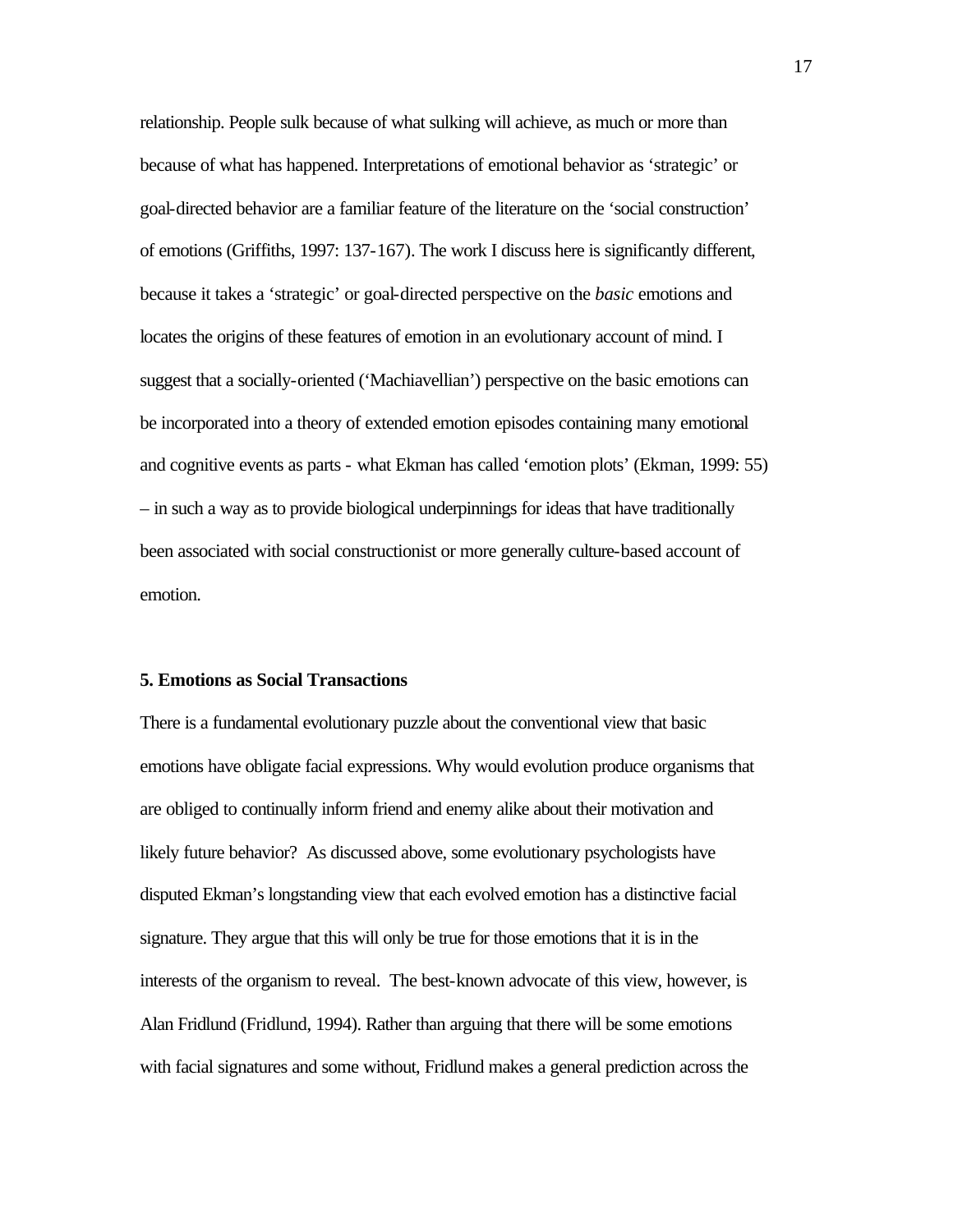relationship. People sulk because of what sulking will achieve, as much or more than because of what has happened. Interpretations of emotional behavior as 'strategic' or goal-directed behavior are a familiar feature of the literature on the 'social construction' of emotions (Griffiths, 1997: 137-167). The work I discuss here is significantly different, because it takes a 'strategic' or goal-directed perspective on the *basic* emotions and locates the origins of these features of emotion in an evolutionary account of mind. I suggest that a socially-oriented ('Machiavellian') perspective on the basic emotions can be incorporated into a theory of extended emotion episodes containing many emotional and cognitive events as parts - what Ekman has called 'emotion plots' (Ekman, 1999: 55) – in such a way as to provide biological underpinnings for ideas that have traditionally been associated with social constructionist or more generally culture-based account of emotion.

### **5. Emotions as Social Transactions**

There is a fundamental evolutionary puzzle about the conventional view that basic emotions have obligate facial expressions. Why would evolution produce organisms that are obliged to continually inform friend and enemy alike about their motivation and likely future behavior? As discussed above, some evolutionary psychologists have disputed Ekman's longstanding view that each evolved emotion has a distinctive facial signature. They argue that this will only be true for those emotions that it is in the interests of the organism to reveal. The best-known advocate of this view, however, is Alan Fridlund (Fridlund, 1994). Rather than arguing that there will be some emotions with facial signatures and some without, Fridlund makes a general prediction across the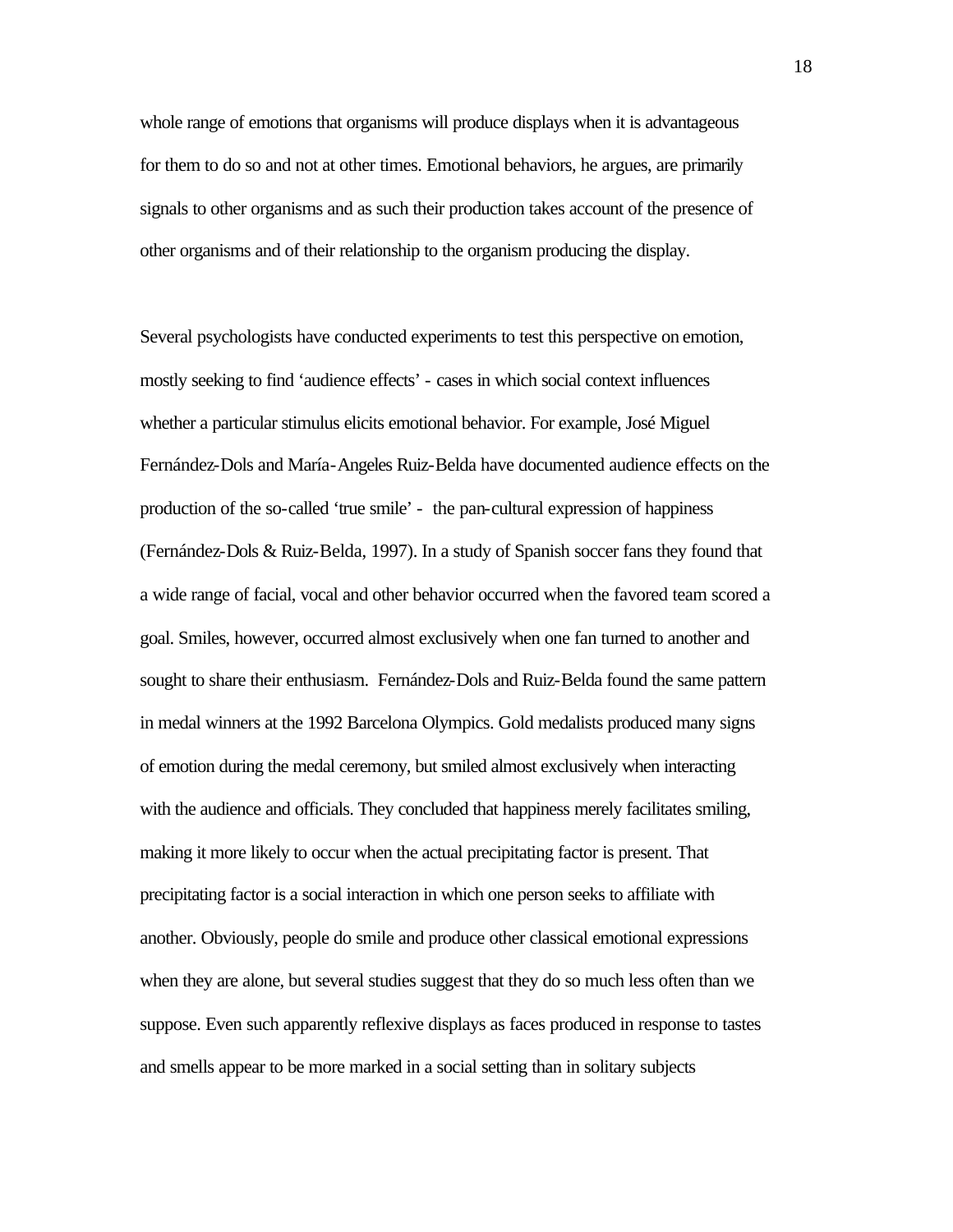whole range of emotions that organisms will produce displays when it is advantageous for them to do so and not at other times. Emotional behaviors, he argues, are primarily signals to other organisms and as such their production takes account of the presence of other organisms and of their relationship to the organism producing the display.

Several psychologists have conducted experiments to test this perspective on emotion, mostly seeking to find 'audience effects' - cases in which social context influences whether a particular stimulus elicits emotional behavior. For example, José Miguel Fernández-Dols and María-Angeles Ruiz-Belda have documented audience effects on the production of the so-called 'true smile' - the pan-cultural expression of happiness (Fernández-Dols & Ruiz-Belda, 1997). In a study of Spanish soccer fans they found that a wide range of facial, vocal and other behavior occurred when the favored team scored a goal. Smiles, however, occurred almost exclusively when one fan turned to another and sought to share their enthusiasm. Fernández-Dols and Ruiz-Belda found the same pattern in medal winners at the 1992 Barcelona Olympics. Gold medalists produced many signs of emotion during the medal ceremony, but smiled almost exclusively when interacting with the audience and officials. They concluded that happiness merely facilitates smiling, making it more likely to occur when the actual precipitating factor is present. That precipitating factor is a social interaction in which one person seeks to affiliate with another. Obviously, people do smile and produce other classical emotional expressions when they are alone, but several studies suggest that they do so much less often than we suppose. Even such apparently reflexive displays as faces produced in response to tastes and smells appear to be more marked in a social setting than in solitary subjects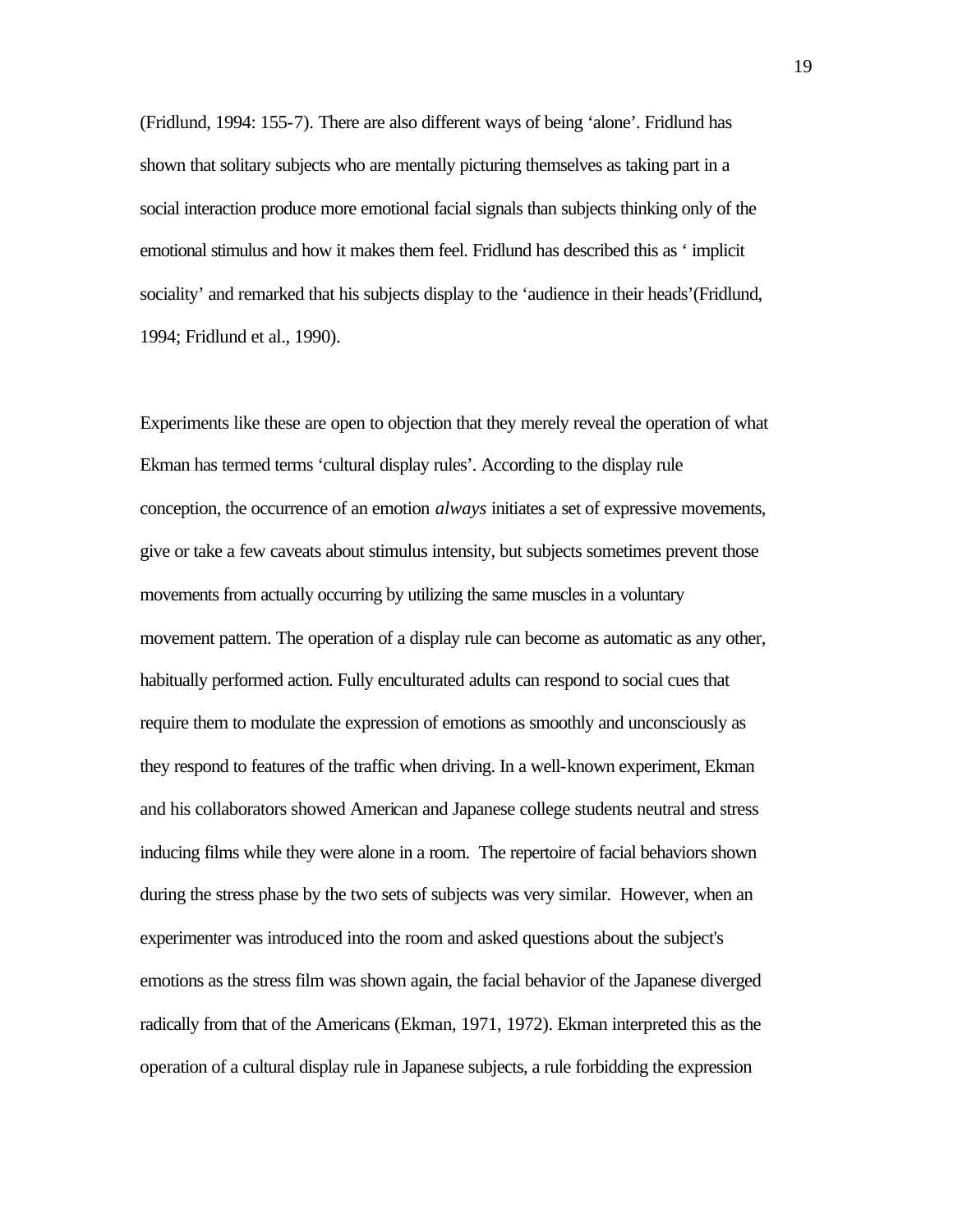(Fridlund, 1994: 155-7). There are also different ways of being 'alone'. Fridlund has shown that solitary subjects who are mentally picturing themselves as taking part in a social interaction produce more emotional facial signals than subjects thinking only of the emotional stimulus and how it makes them feel. Fridlund has described this as ' implicit sociality' and remarked that his subjects display to the 'audience in their heads'(Fridlund, 1994; Fridlund et al., 1990).

Experiments like these are open to objection that they merely reveal the operation of what Ekman has termed terms 'cultural display rules'. According to the display rule conception, the occurrence of an emotion *always* initiates a set of expressive movements, give or take a few caveats about stimulus intensity, but subjects sometimes prevent those movements from actually occurring by utilizing the same muscles in a voluntary movement pattern. The operation of a display rule can become as automatic as any other, habitually performed action. Fully enculturated adults can respond to social cues that require them to modulate the expression of emotions as smoothly and unconsciously as they respond to features of the traffic when driving. In a well-known experiment, Ekman and his collaborators showed American and Japanese college students neutral and stress inducing films while they were alone in a room. The repertoire of facial behaviors shown during the stress phase by the two sets of subjects was very similar. However, when an experimenter was introduced into the room and asked questions about the subject's emotions as the stress film was shown again, the facial behavior of the Japanese diverged radically from that of the Americans (Ekman, 1971, 1972). Ekman interpreted this as the operation of a cultural display rule in Japanese subjects, a rule forbidding the expression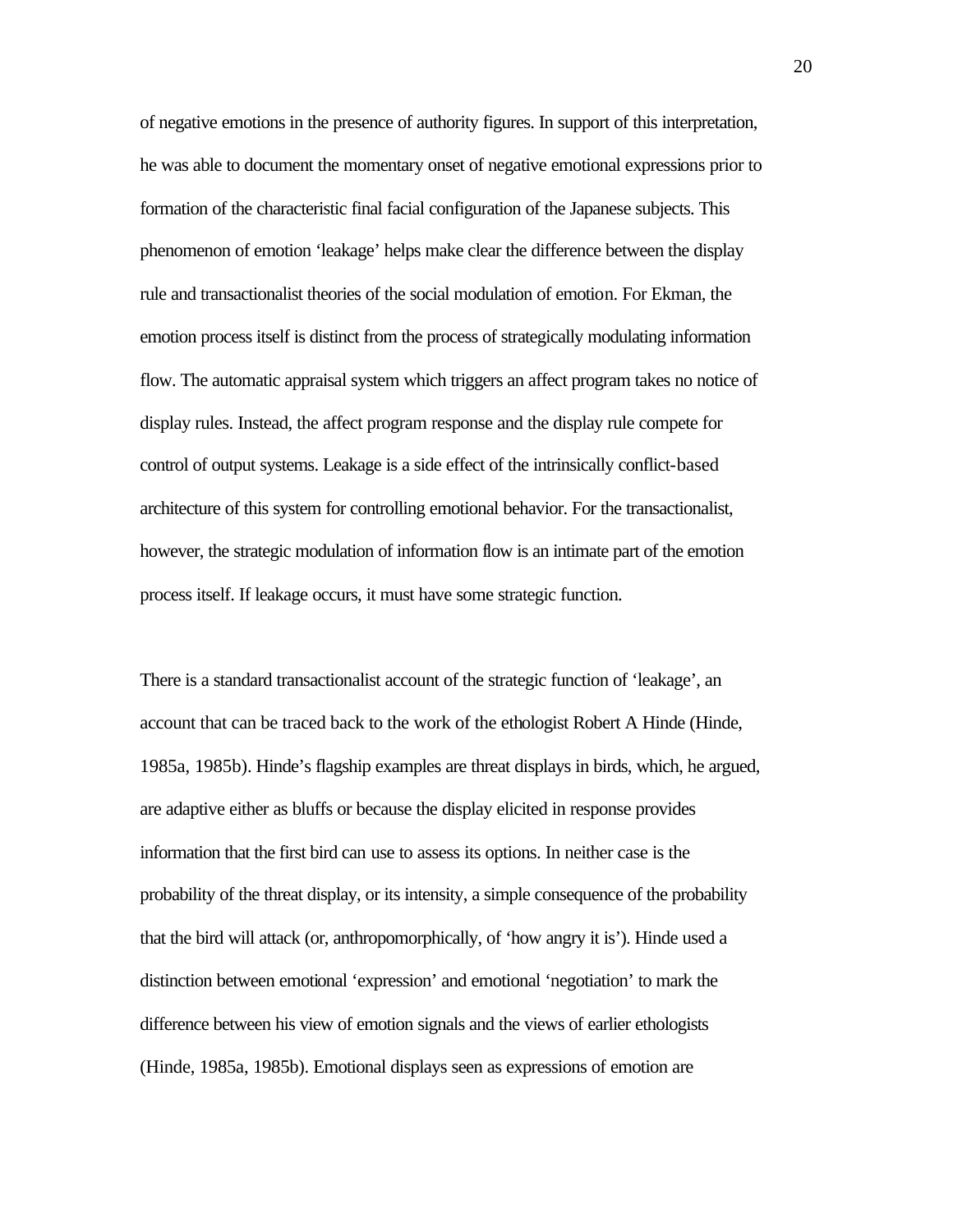of negative emotions in the presence of authority figures. In support of this interpretation, he was able to document the momentary onset of negative emotional expressions prior to formation of the characteristic final facial configuration of the Japanese subjects. This phenomenon of emotion 'leakage' helps make clear the difference between the display rule and transactionalist theories of the social modulation of emotion. For Ekman, the emotion process itself is distinct from the process of strategically modulating information flow. The automatic appraisal system which triggers an affect program takes no notice of display rules. Instead, the affect program response and the display rule compete for control of output systems. Leakage is a side effect of the intrinsically conflict-based architecture of this system for controlling emotional behavior. For the transactionalist, however, the strategic modulation of information flow is an intimate part of the emotion process itself. If leakage occurs, it must have some strategic function.

There is a standard transactionalist account of the strategic function of 'leakage', an account that can be traced back to the work of the ethologist Robert A Hinde (Hinde, 1985a, 1985b). Hinde's flagship examples are threat displays in birds, which, he argued, are adaptive either as bluffs or because the display elicited in response provides information that the first bird can use to assess its options. In neither case is the probability of the threat display, or its intensity, a simple consequence of the probability that the bird will attack (or, anthropomorphically, of 'how angry it is'). Hinde used a distinction between emotional 'expression' and emotional 'negotiation' to mark the difference between his view of emotion signals and the views of earlier ethologists (Hinde, 1985a, 1985b). Emotional displays seen as expressions of emotion are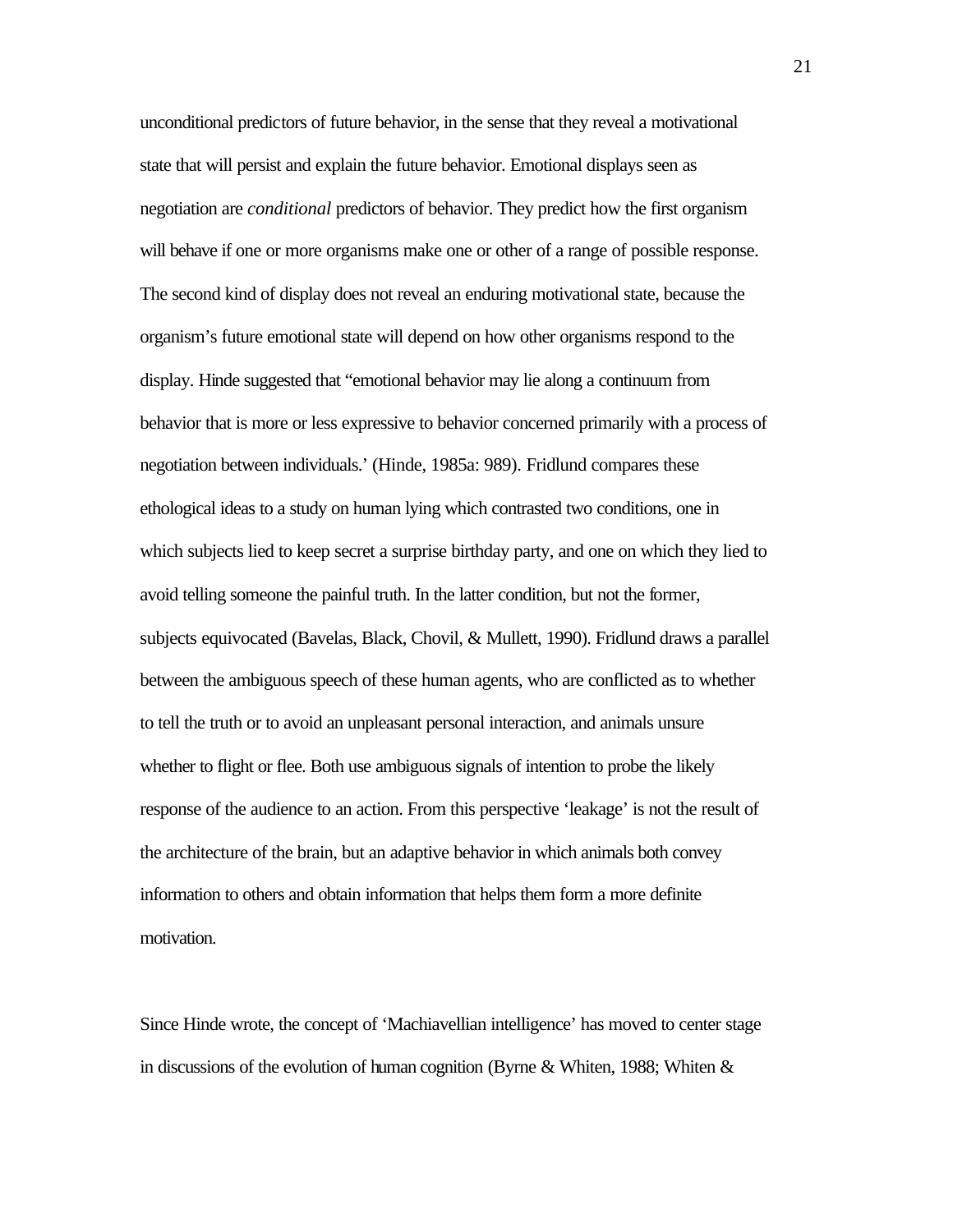unconditional predictors of future behavior, in the sense that they reveal a motivational state that will persist and explain the future behavior. Emotional displays seen as negotiation are *conditional* predictors of behavior. They predict how the first organism will behave if one or more organisms make one or other of a range of possible response. The second kind of display does not reveal an enduring motivational state, because the organism's future emotional state will depend on how other organisms respond to the display. Hinde suggested that "emotional behavior may lie along a continuum from behavior that is more or less expressive to behavior concerned primarily with a process of negotiation between individuals.' (Hinde, 1985a: 989). Fridlund compares these ethological ideas to a study on human lying which contrasted two conditions, one in which subjects lied to keep secret a surprise birthday party, and one on which they lied to avoid telling someone the painful truth. In the latter condition, but not the former, subjects equivocated (Bavelas, Black, Chovil, & Mullett, 1990). Fridlund draws a parallel between the ambiguous speech of these human agents, who are conflicted as to whether to tell the truth or to avoid an unpleasant personal interaction, and animals unsure whether to flight or flee. Both use ambiguous signals of intention to probe the likely response of the audience to an action. From this perspective 'leakage' is not the result of the architecture of the brain, but an adaptive behavior in which animals both convey information to others and obtain information that helps them form a more definite motivation.

Since Hinde wrote, the concept of 'Machiavellian intelligence' has moved to center stage in discussions of the evolution of human cognition (Byrne & Whiten, 1988; Whiten  $\&$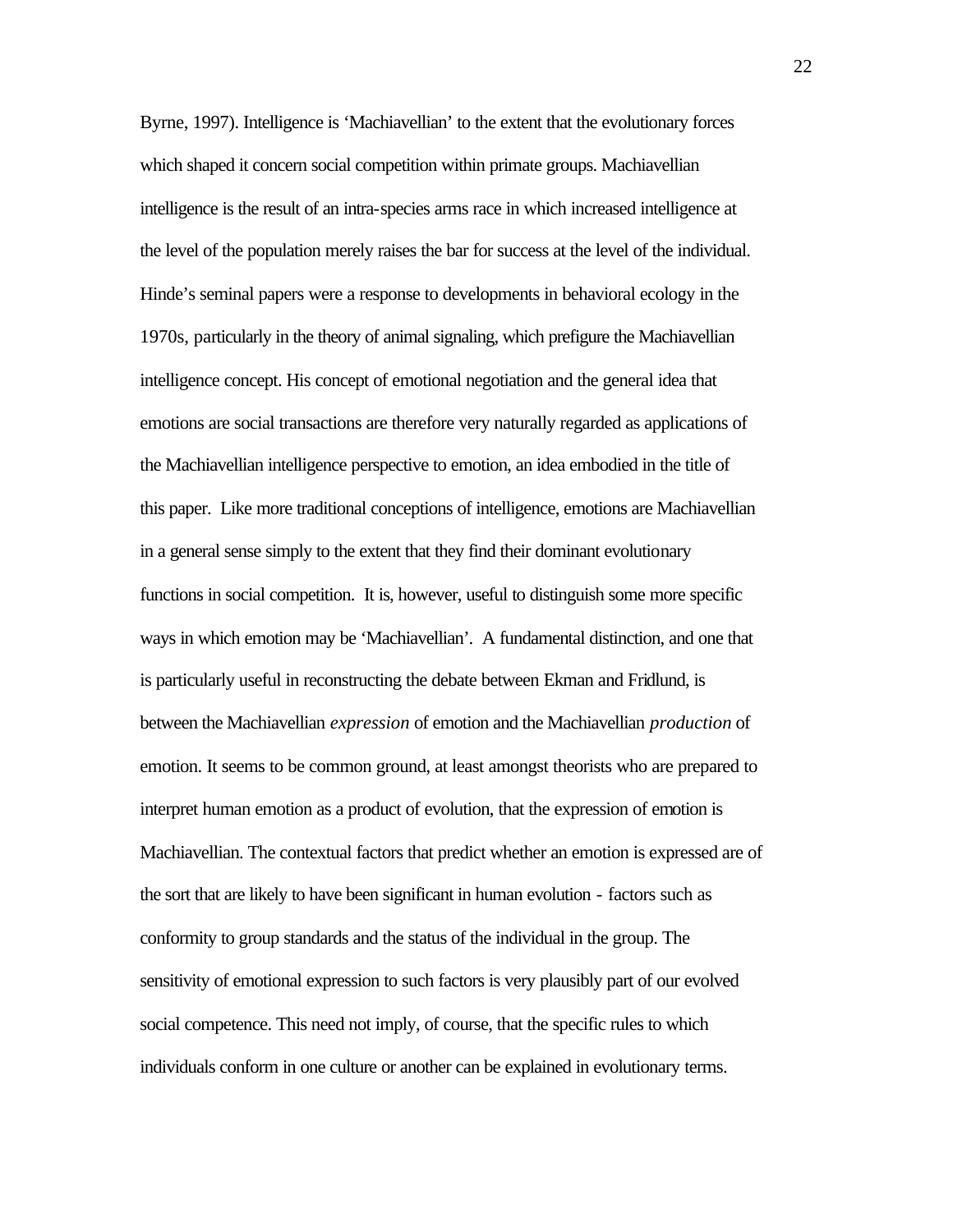Byrne, 1997). Intelligence is 'Machiavellian' to the extent that the evolutionary forces which shaped it concern social competition within primate groups. Machiavellian intelligence is the result of an intra-species arms race in which increased intelligence at the level of the population merely raises the bar for success at the level of the individual. Hinde's seminal papers were a response to developments in behavioral ecology in the 1970s, particularly in the theory of animal signaling, which prefigure the Machiavellian intelligence concept. His concept of emotional negotiation and the general idea that emotions are social transactions are therefore very naturally regarded as applications of the Machiavellian intelligence perspective to emotion, an idea embodied in the title of this paper. Like more traditional conceptions of intelligence, emotions are Machiavellian in a general sense simply to the extent that they find their dominant evolutionary functions in social competition. It is, however, useful to distinguish some more specific ways in which emotion may be 'Machiavellian'. A fundamental distinction, and one that is particularly useful in reconstructing the debate between Ekman and Fridlund, is between the Machiavellian *expression* of emotion and the Machiavellian *production* of emotion. It seems to be common ground, at least amongst theorists who are prepared to interpret human emotion as a product of evolution, that the expression of emotion is Machiavellian. The contextual factors that predict whether an emotion is expressed are of the sort that are likely to have been significant in human evolution - factors such as conformity to group standards and the status of the individual in the group. The sensitivity of emotional expression to such factors is very plausibly part of our evolved social competence. This need not imply, of course, that the specific rules to which individuals conform in one culture or another can be explained in evolutionary terms.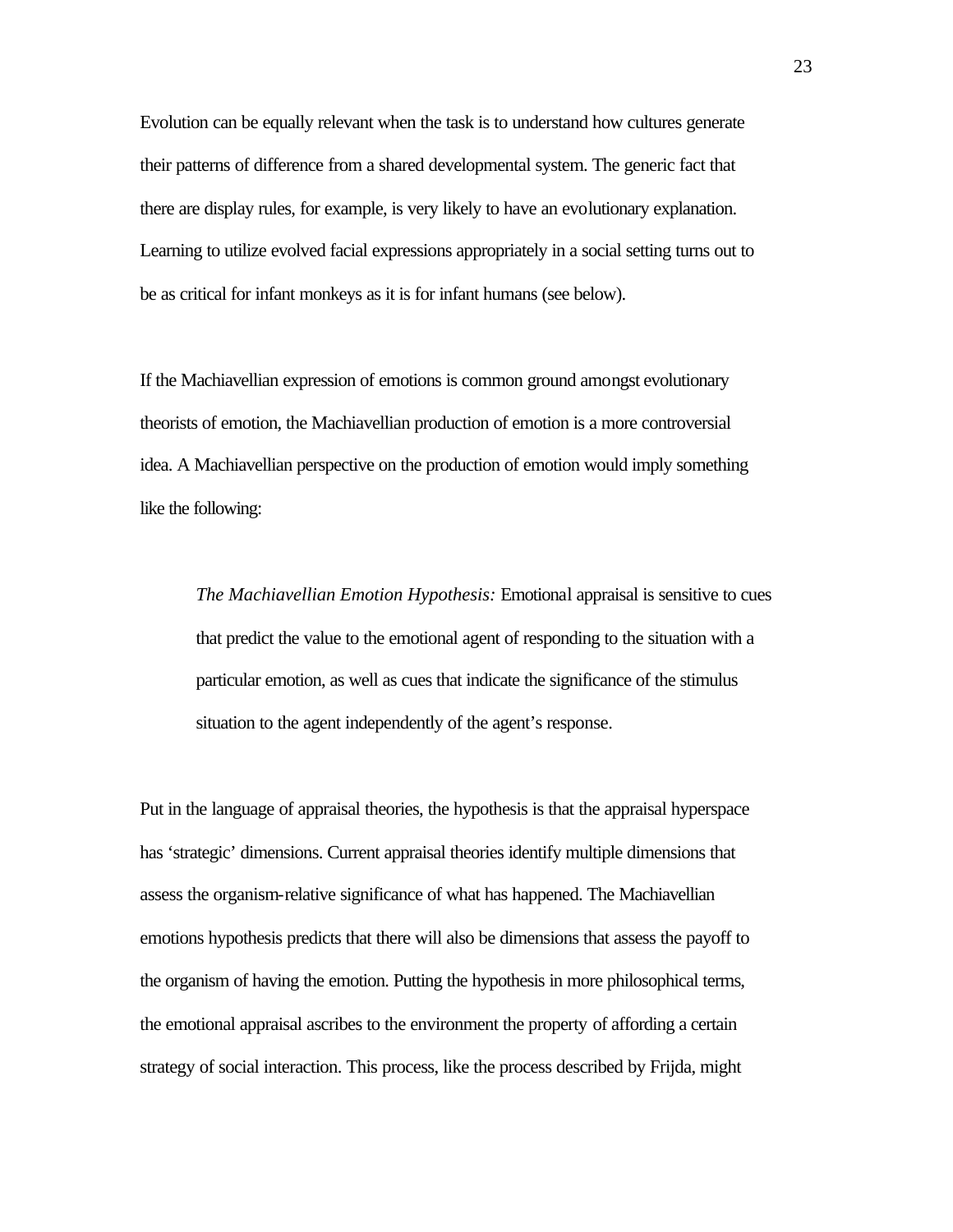Evolution can be equally relevant when the task is to understand how cultures generate their patterns of difference from a shared developmental system. The generic fact that there are display rules, for example, is very likely to have an evolutionary explanation. Learning to utilize evolved facial expressions appropriately in a social setting turns out to be as critical for infant monkeys as it is for infant humans (see below).

If the Machiavellian expression of emotions is common ground amongst evolutionary theorists of emotion, the Machiavellian production of emotion is a more controversial idea. A Machiavellian perspective on the production of emotion would imply something like the following:

*The Machiavellian Emotion Hypothesis:* Emotional appraisal is sensitive to cues that predict the value to the emotional agent of responding to the situation with a particular emotion, as well as cues that indicate the significance of the stimulus situation to the agent independently of the agent's response.

Put in the language of appraisal theories, the hypothesis is that the appraisal hyperspace has 'strategic' dimensions. Current appraisal theories identify multiple dimensions that assess the organism-relative significance of what has happened. The Machiavellian emotions hypothesis predicts that there will also be dimensions that assess the payoff to the organism of having the emotion. Putting the hypothesis in more philosophical terms, the emotional appraisal ascribes to the environment the property of affording a certain strategy of social interaction. This process, like the process described by Frijda, might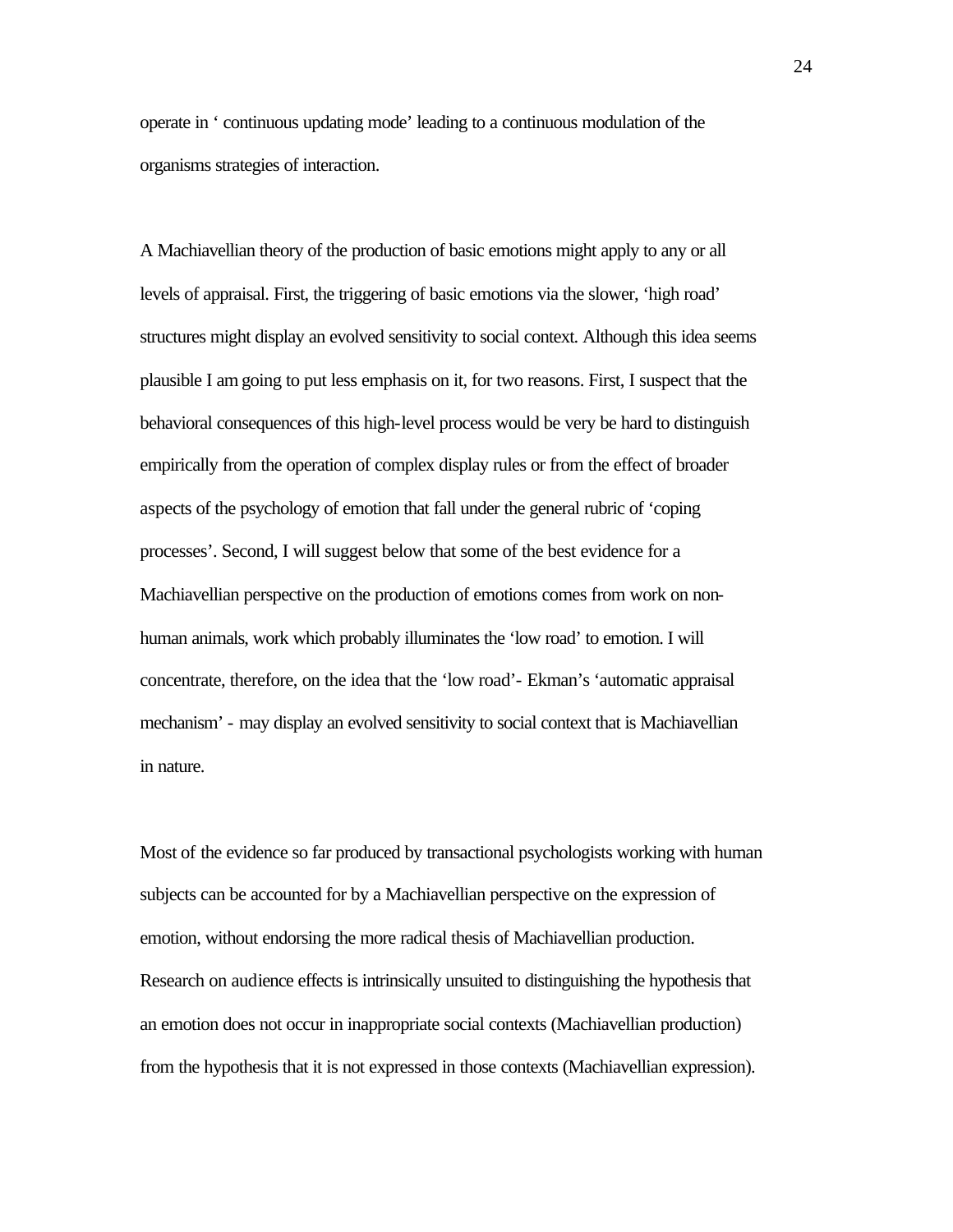operate in ' continuous updating mode' leading to a continuous modulation of the organisms strategies of interaction.

A Machiavellian theory of the production of basic emotions might apply to any or all levels of appraisal. First, the triggering of basic emotions via the slower, 'high road' structures might display an evolved sensitivity to social context. Although this idea seems plausible I am going to put less emphasis on it, for two reasons. First, I suspect that the behavioral consequences of this high-level process would be very be hard to distinguish empirically from the operation of complex display rules or from the effect of broader aspects of the psychology of emotion that fall under the general rubric of 'coping processes'. Second, I will suggest below that some of the best evidence for a Machiavellian perspective on the production of emotions comes from work on nonhuman animals, work which probably illuminates the 'low road' to emotion. I will concentrate, therefore, on the idea that the 'low road'- Ekman's 'automatic appraisal mechanism' - may display an evolved sensitivity to social context that is Machiavellian in nature.

Most of the evidence so far produced by transactional psychologists working with human subjects can be accounted for by a Machiavellian perspective on the expression of emotion, without endorsing the more radical thesis of Machiavellian production. Research on audience effects is intrinsically unsuited to distinguishing the hypothesis that an emotion does not occur in inappropriate social contexts (Machiavellian production) from the hypothesis that it is not expressed in those contexts (Machiavellian expression).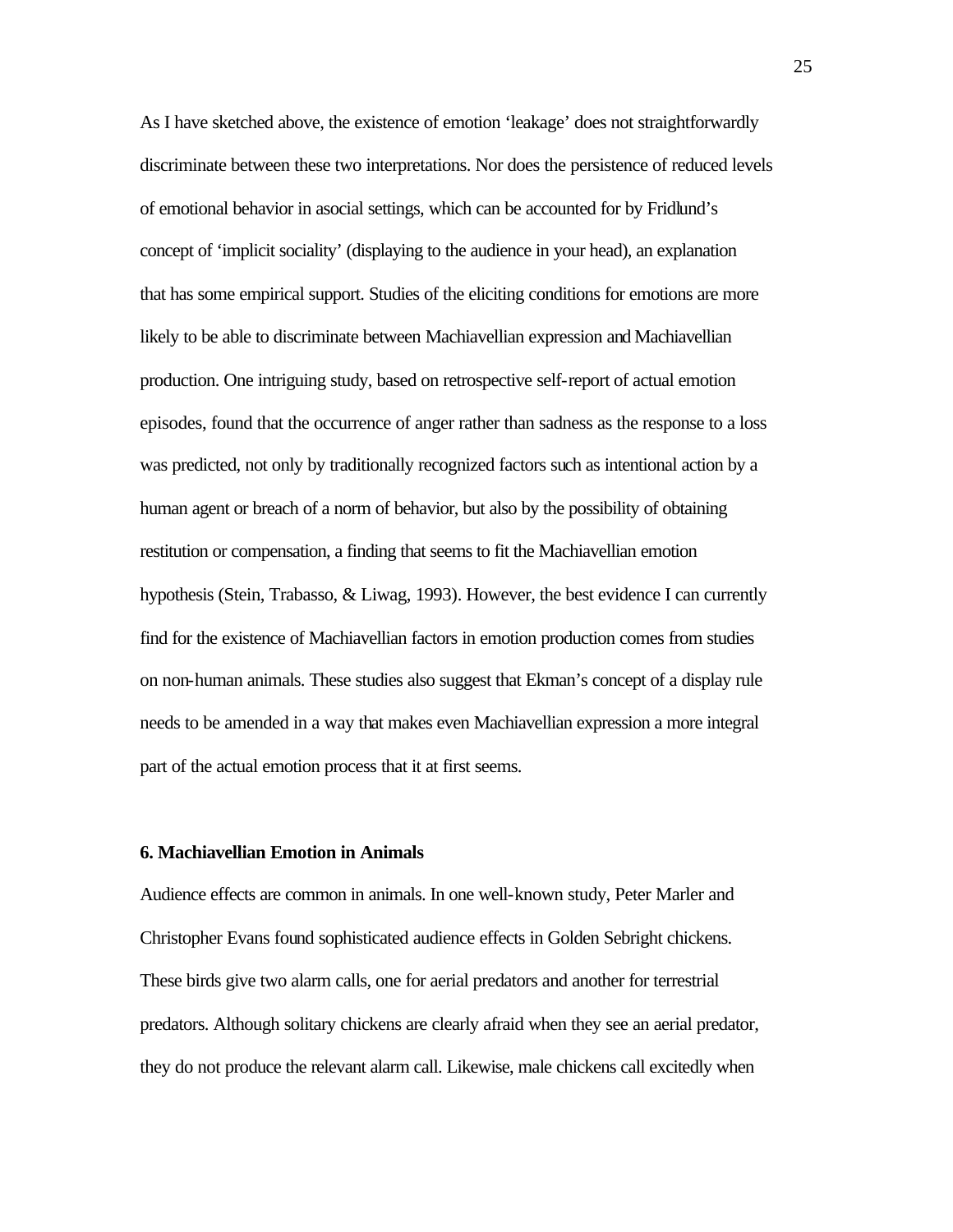As I have sketched above, the existence of emotion 'leakage' does not straightforwardly discriminate between these two interpretations. Nor does the persistence of reduced levels of emotional behavior in asocial settings, which can be accounted for by Fridlund's concept of 'implicit sociality' (displaying to the audience in your head), an explanation that has some empirical support. Studies of the eliciting conditions for emotions are more likely to be able to discriminate between Machiavellian expression and Machiavellian production. One intriguing study, based on retrospective self-report of actual emotion episodes, found that the occurrence of anger rather than sadness as the response to a loss was predicted, not only by traditionally recognized factors such as intentional action by a human agent or breach of a norm of behavior, but also by the possibility of obtaining restitution or compensation, a finding that seems to fit the Machiavellian emotion hypothesis (Stein, Trabasso, & Liwag, 1993). However, the best evidence I can currently find for the existence of Machiavellian factors in emotion production comes from studies on non-human animals. These studies also suggest that Ekman's concept of a display rule needs to be amended in a way that makes even Machiavellian expression a more integral part of the actual emotion process that it at first seems.

### **6. Machiavellian Emotion in Animals**

Audience effects are common in animals. In one well-known study, Peter Marler and Christopher Evans found sophisticated audience effects in Golden Sebright chickens. These birds give two alarm calls, one for aerial predators and another for terrestrial predators. Although solitary chickens are clearly afraid when they see an aerial predator, they do not produce the relevant alarm call. Likewise, male chickens call excitedly when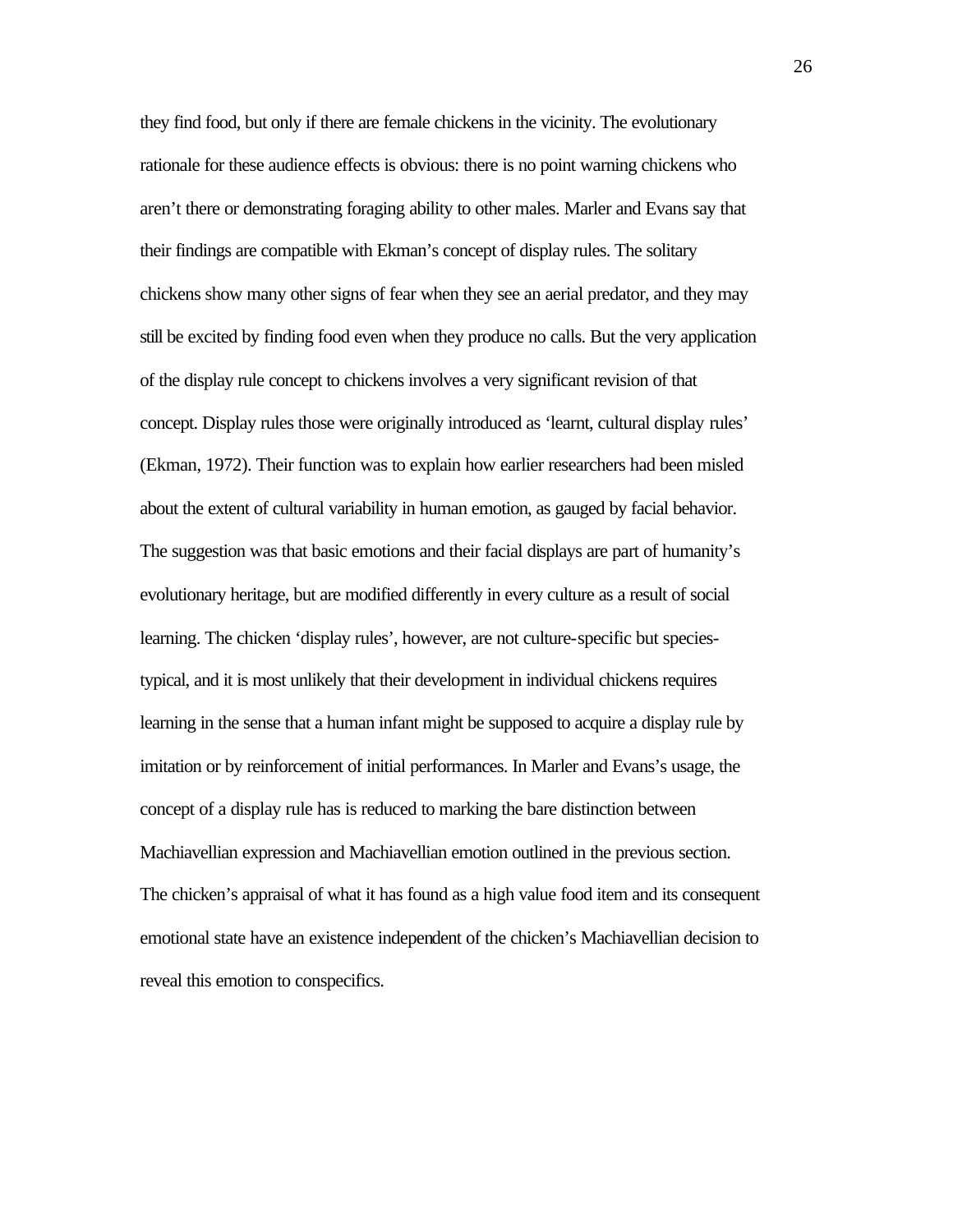they find food, but only if there are female chickens in the vicinity. The evolutionary rationale for these audience effects is obvious: there is no point warning chickens who aren't there or demonstrating foraging ability to other males. Marler and Evans say that their findings are compatible with Ekman's concept of display rules. The solitary chickens show many other signs of fear when they see an aerial predator, and they may still be excited by finding food even when they produce no calls. But the very application of the display rule concept to chickens involves a very significant revision of that concept. Display rules those were originally introduced as 'learnt, cultural display rules' (Ekman, 1972). Their function was to explain how earlier researchers had been misled about the extent of cultural variability in human emotion, as gauged by facial behavior. The suggestion was that basic emotions and their facial displays are part of humanity's evolutionary heritage, but are modified differently in every culture as a result of social learning. The chicken 'display rules', however, are not culture-specific but speciestypical, and it is most unlikely that their development in individual chickens requires learning in the sense that a human infant might be supposed to acquire a display rule by imitation or by reinforcement of initial performances. In Marler and Evans's usage, the concept of a display rule has is reduced to marking the bare distinction between Machiavellian expression and Machiavellian emotion outlined in the previous section. The chicken's appraisal of what it has found as a high value food item and its consequent emotional state have an existence independent of the chicken's Machiavellian decision to reveal this emotion to conspecifics.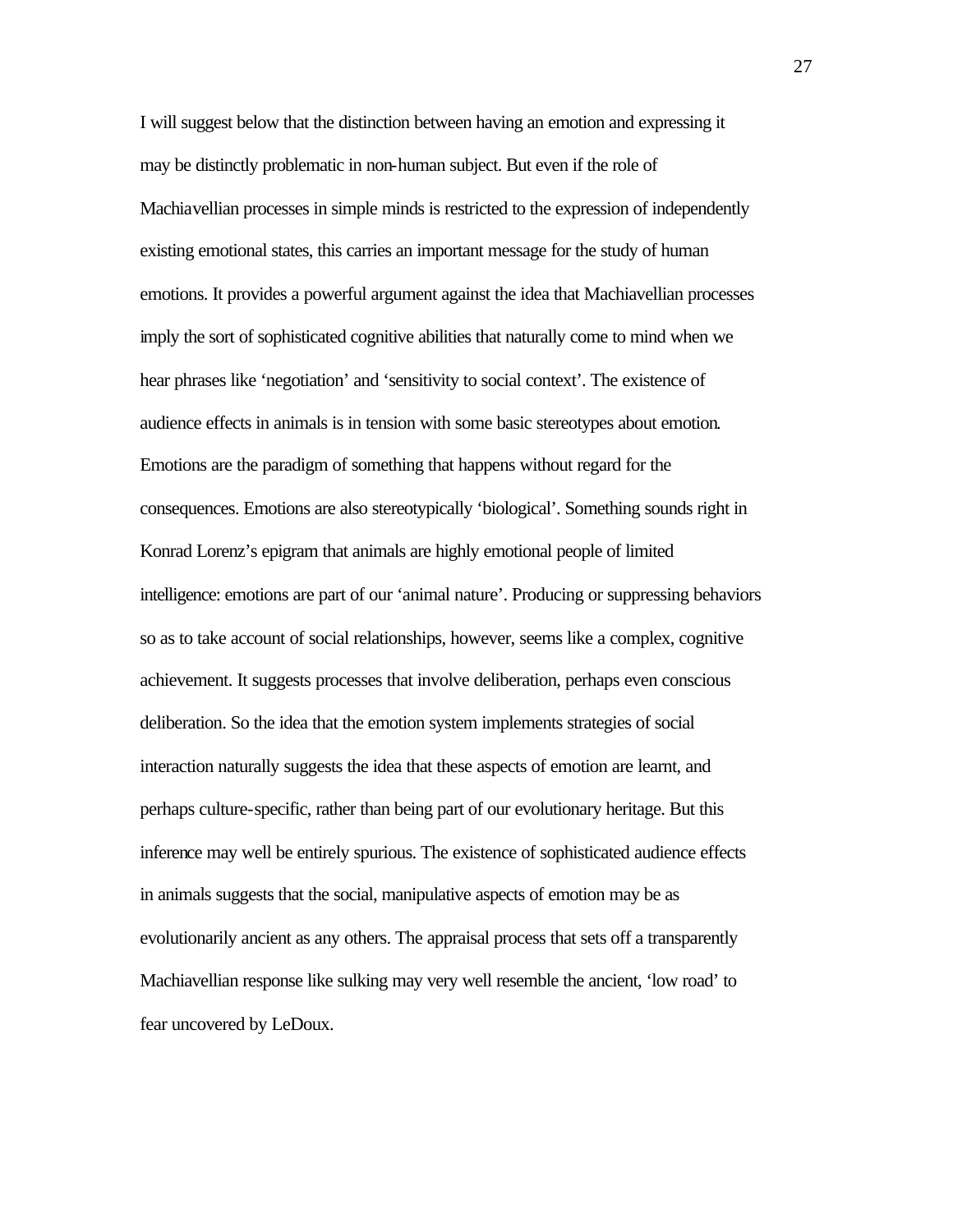I will suggest below that the distinction between having an emotion and expressing it may be distinctly problematic in non-human subject. But even if the role of Machiavellian processes in simple minds is restricted to the expression of independently existing emotional states, this carries an important message for the study of human emotions. It provides a powerful argument against the idea that Machiavellian processes imply the sort of sophisticated cognitive abilities that naturally come to mind when we hear phrases like 'negotiation' and 'sensitivity to social context'. The existence of audience effects in animals is in tension with some basic stereotypes about emotion. Emotions are the paradigm of something that happens without regard for the consequences. Emotions are also stereotypically 'biological'. Something sounds right in Konrad Lorenz's epigram that animals are highly emotional people of limited intelligence: emotions are part of our 'animal nature'. Producing or suppressing behaviors so as to take account of social relationships, however, seems like a complex, cognitive achievement. It suggests processes that involve deliberation, perhaps even conscious deliberation. So the idea that the emotion system implements strategies of social interaction naturally suggests the idea that these aspects of emotion are learnt, and perhaps culture-specific, rather than being part of our evolutionary heritage. But this inference may well be entirely spurious. The existence of sophisticated audience effects in animals suggests that the social, manipulative aspects of emotion may be as evolutionarily ancient as any others. The appraisal process that sets off a transparently Machiavellian response like sulking may very well resemble the ancient, 'low road' to fear uncovered by LeDoux.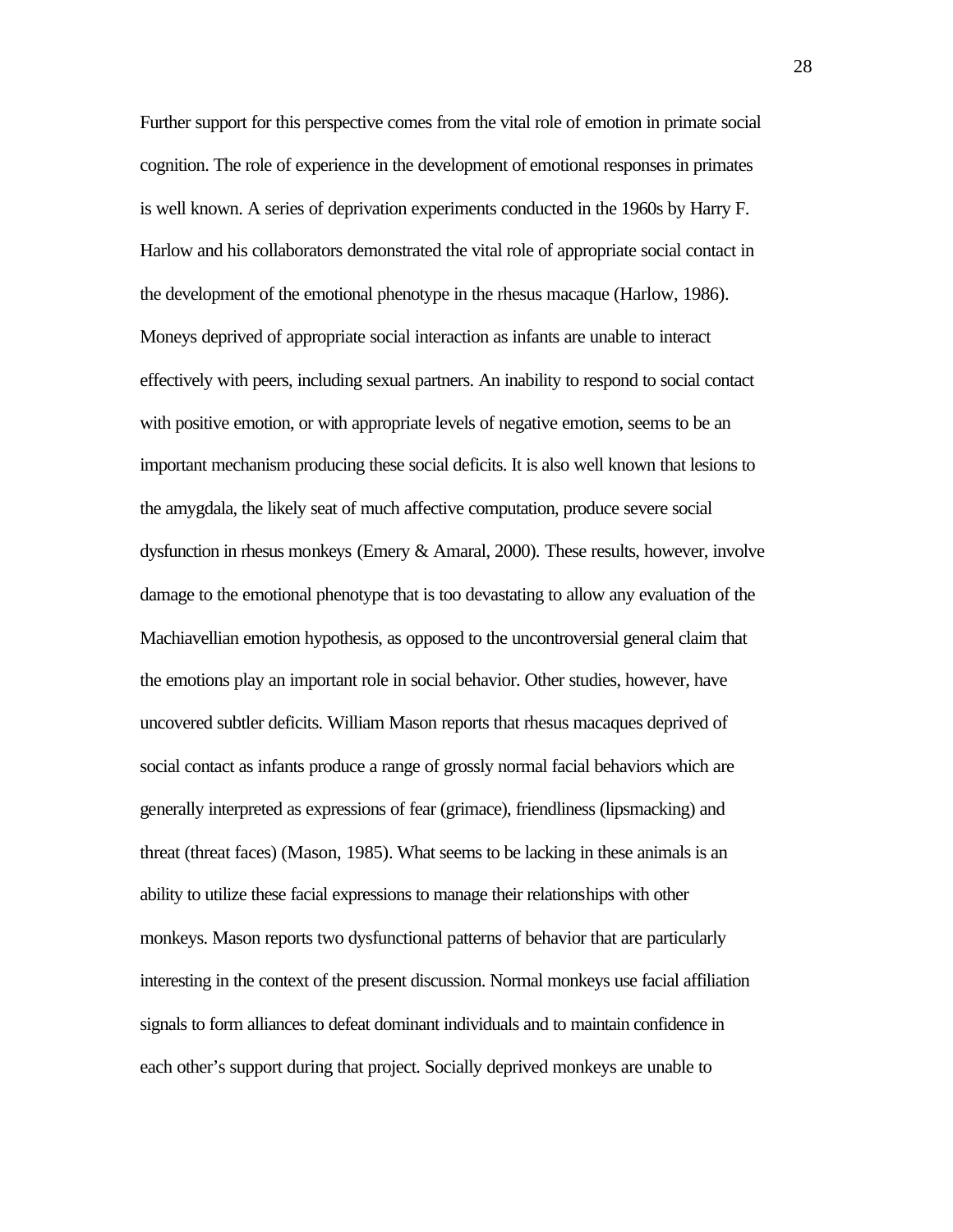Further support for this perspective comes from the vital role of emotion in primate social cognition. The role of experience in the development of emotional responses in primates is well known. A series of deprivation experiments conducted in the 1960s by Harry F. Harlow and his collaborators demonstrated the vital role of appropriate social contact in the development of the emotional phenotype in the rhesus macaque (Harlow, 1986). Moneys deprived of appropriate social interaction as infants are unable to interact effectively with peers, including sexual partners. An inability to respond to social contact with positive emotion, or with appropriate levels of negative emotion, seems to be an important mechanism producing these social deficits. It is also well known that lesions to the amygdala, the likely seat of much affective computation, produce severe social dysfunction in rhesus monkeys (Emery & Amaral, 2000). These results, however, involve damage to the emotional phenotype that is too devastating to allow any evaluation of the Machiavellian emotion hypothesis, as opposed to the uncontroversial general claim that the emotions play an important role in social behavior. Other studies, however, have uncovered subtler deficits. William Mason reports that rhesus macaques deprived of social contact as infants produce a range of grossly normal facial behaviors which are generally interpreted as expressions of fear (grimace), friendliness (lipsmacking) and threat (threat faces) (Mason, 1985). What seems to be lacking in these animals is an ability to utilize these facial expressions to manage their relationships with other monkeys. Mason reports two dysfunctional patterns of behavior that are particularly interesting in the context of the present discussion. Normal monkeys use facial affiliation signals to form alliances to defeat dominant individuals and to maintain confidence in each other's support during that project. Socially deprived monkeys are unable to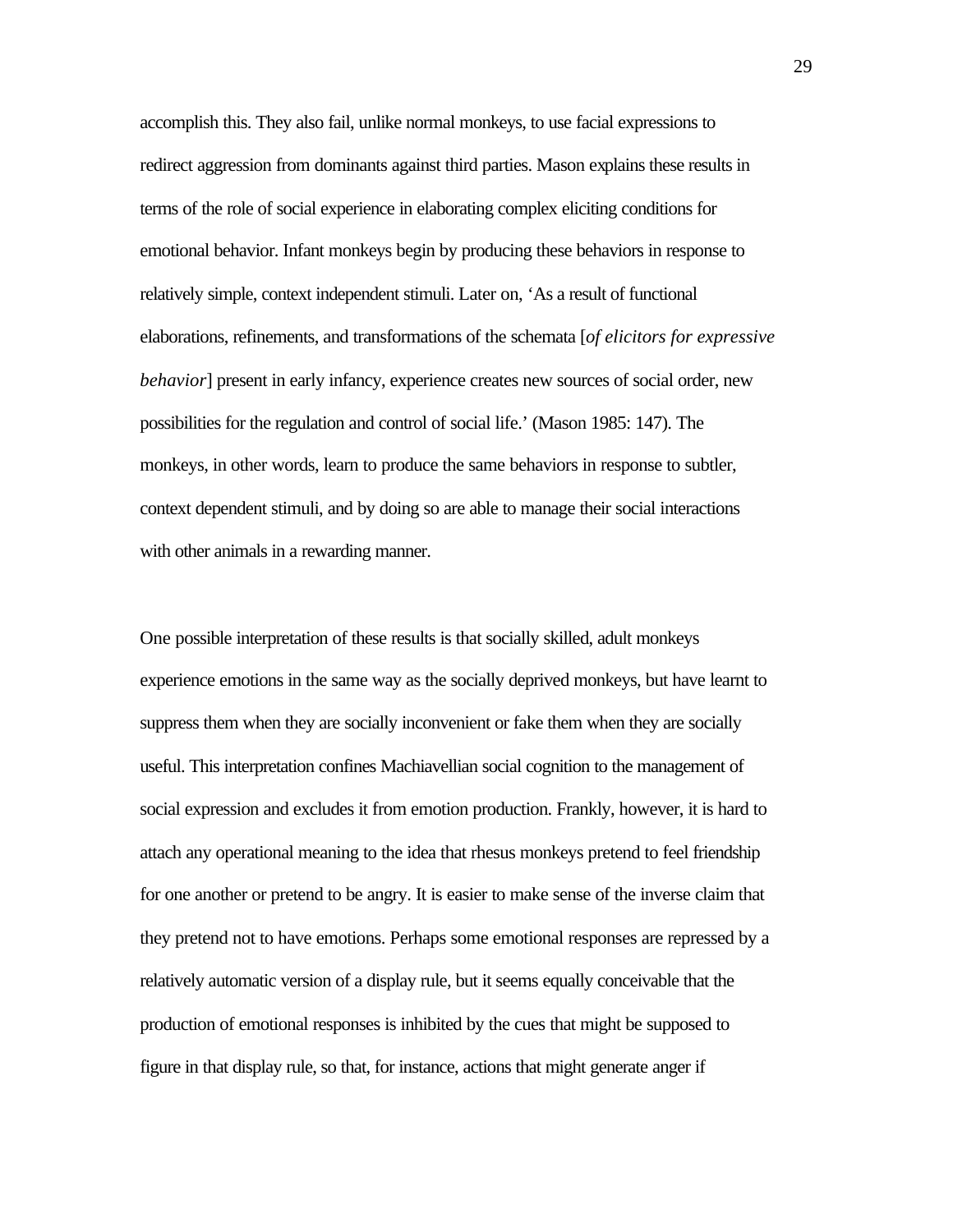accomplish this. They also fail, unlike normal monkeys, to use facial expressions to redirect aggression from dominants against third parties. Mason explains these results in terms of the role of social experience in elaborating complex eliciting conditions for emotional behavior. Infant monkeys begin by producing these behaviors in response to relatively simple, context independent stimuli. Later on, 'As a result of functional elaborations, refinements, and transformations of the schemata [*of elicitors for expressive behavior*] present in early infancy, experience creates new sources of social order, new possibilities for the regulation and control of social life.' (Mason 1985: 147). The monkeys, in other words, learn to produce the same behaviors in response to subtler, context dependent stimuli, and by doing so are able to manage their social interactions with other animals in a rewarding manner.

One possible interpretation of these results is that socially skilled, adult monkeys experience emotions in the same way as the socially deprived monkeys, but have learnt to suppress them when they are socially inconvenient or fake them when they are socially useful. This interpretation confines Machiavellian social cognition to the management of social expression and excludes it from emotion production. Frankly, however, it is hard to attach any operational meaning to the idea that rhesus monkeys pretend to feel friendship for one another or pretend to be angry. It is easier to make sense of the inverse claim that they pretend not to have emotions. Perhaps some emotional responses are repressed by a relatively automatic version of a display rule, but it seems equally conceivable that the production of emotional responses is inhibited by the cues that might be supposed to figure in that display rule, so that, for instance, actions that might generate anger if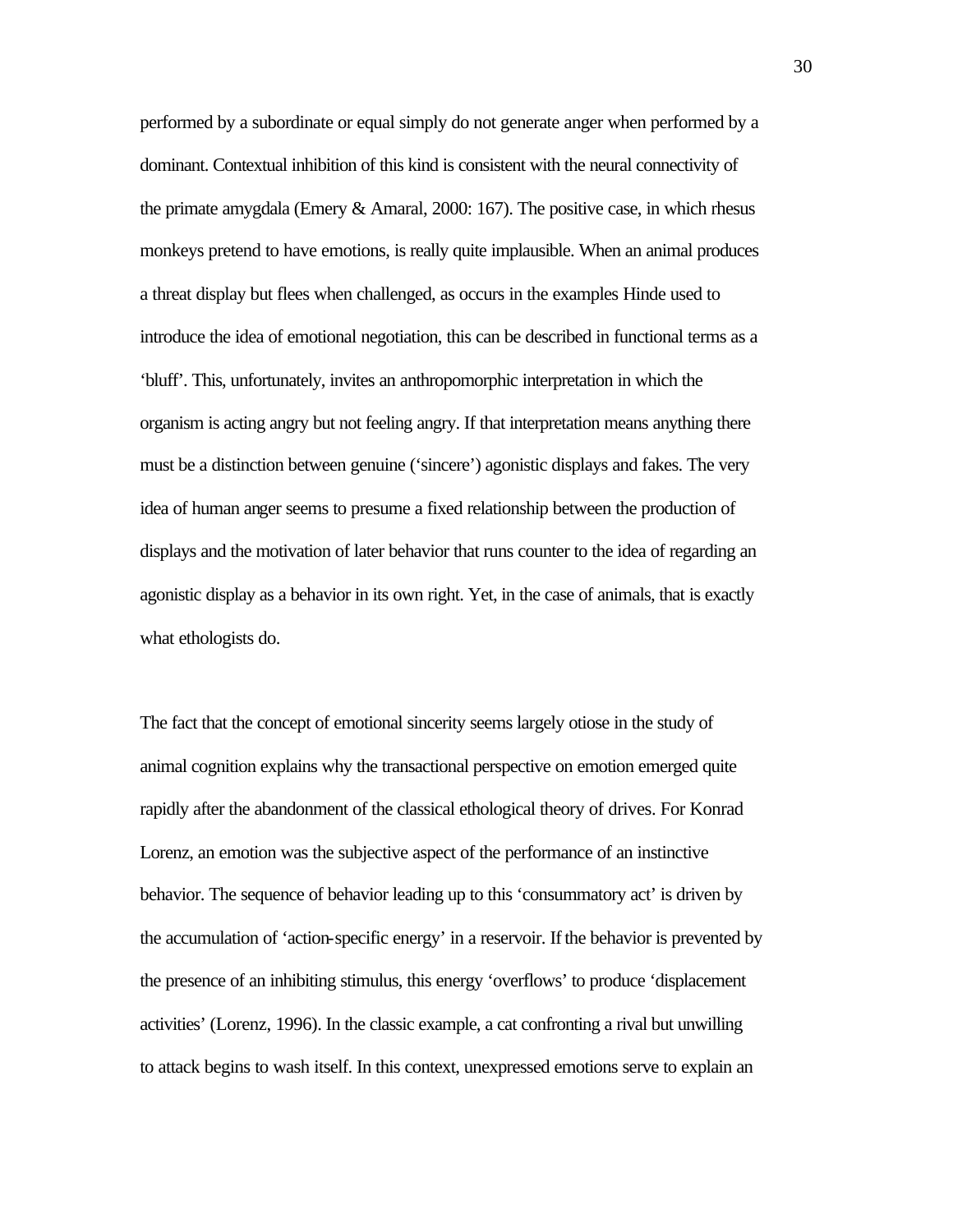performed by a subordinate or equal simply do not generate anger when performed by a dominant. Contextual inhibition of this kind is consistent with the neural connectivity of the primate amygdala (Emery & Amaral, 2000: 167). The positive case, in which rhesus monkeys pretend to have emotions, is really quite implausible. When an animal produces a threat display but flees when challenged, as occurs in the examples Hinde used to introduce the idea of emotional negotiation, this can be described in functional terms as a 'bluff'. This, unfortunately, invites an anthropomorphic interpretation in which the organism is acting angry but not feeling angry. If that interpretation means anything there must be a distinction between genuine ('sincere') agonistic displays and fakes. The very idea of human anger seems to presume a fixed relationship between the production of displays and the motivation of later behavior that runs counter to the idea of regarding an agonistic display as a behavior in its own right. Yet, in the case of animals, that is exactly what ethologists do.

The fact that the concept of emotional sincerity seems largely otiose in the study of animal cognition explains why the transactional perspective on emotion emerged quite rapidly after the abandonment of the classical ethological theory of drives. For Konrad Lorenz, an emotion was the subjective aspect of the performance of an instinctive behavior. The sequence of behavior leading up to this 'consummatory act' is driven by the accumulation of 'action-specific energy' in a reservoir. If the behavior is prevented by the presence of an inhibiting stimulus, this energy 'overflows' to produce 'displacement activities' (Lorenz, 1996). In the classic example, a cat confronting a rival but unwilling to attack begins to wash itself. In this context, unexpressed emotions serve to explain an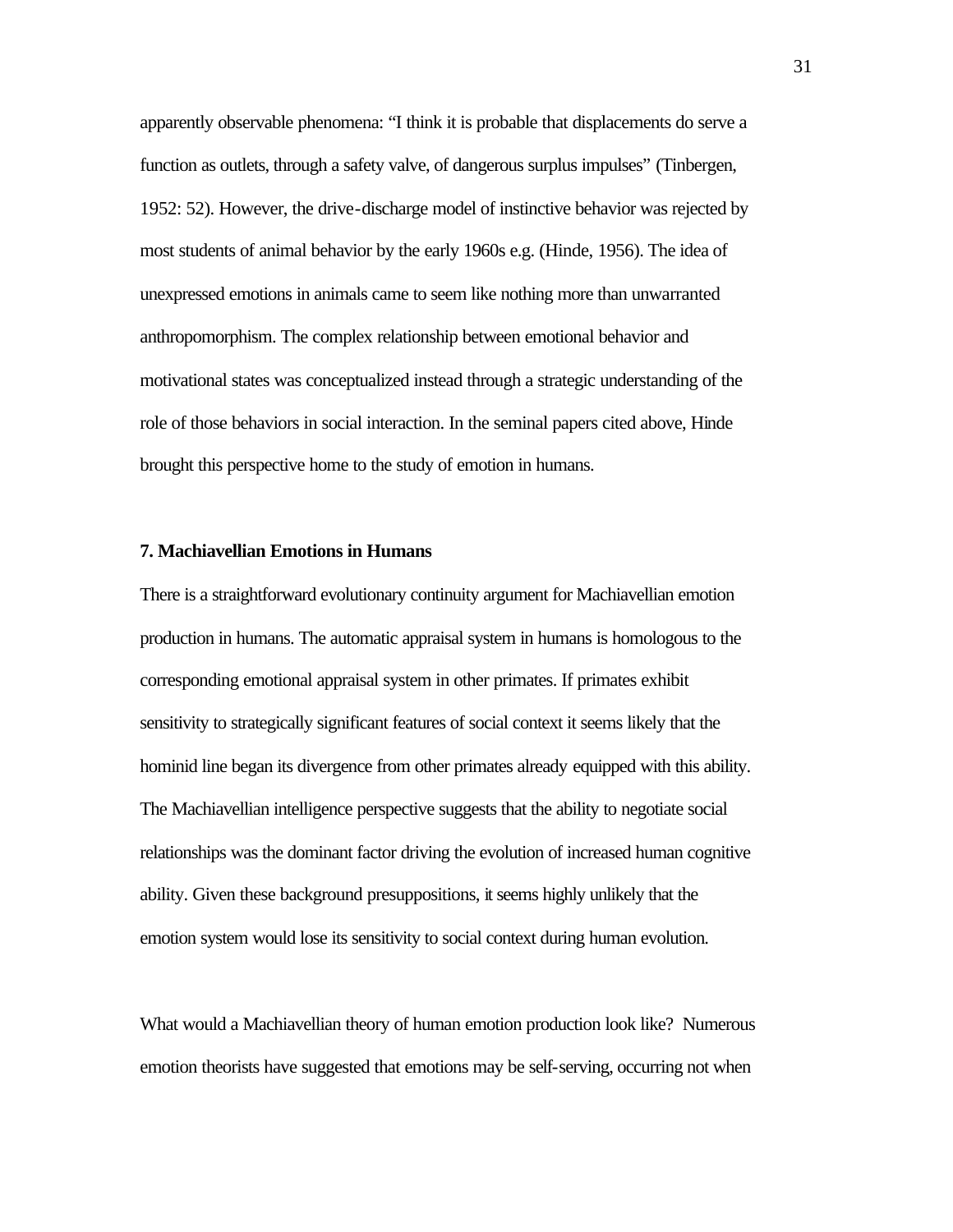apparently observable phenomena: "I think it is probable that displacements do serve a function as outlets, through a safety valve, of dangerous surplus impulses" (Tinbergen, 1952: 52). However, the drive-discharge model of instinctive behavior was rejected by most students of animal behavior by the early 1960s e.g. (Hinde, 1956). The idea of unexpressed emotions in animals came to seem like nothing more than unwarranted anthropomorphism. The complex relationship between emotional behavior and motivational states was conceptualized instead through a strategic understanding of the role of those behaviors in social interaction. In the seminal papers cited above, Hinde brought this perspective home to the study of emotion in humans.

### **7. Machiavellian Emotions in Humans**

There is a straightforward evolutionary continuity argument for Machiavellian emotion production in humans. The automatic appraisal system in humans is homologous to the corresponding emotional appraisal system in other primates. If primates exhibit sensitivity to strategically significant features of social context it seems likely that the hominid line began its divergence from other primates already equipped with this ability. The Machiavellian intelligence perspective suggests that the ability to negotiate social relationships was the dominant factor driving the evolution of increased human cognitive ability. Given these background presuppositions, it seems highly unlikely that the emotion system would lose its sensitivity to social context during human evolution.

What would a Machiavellian theory of human emotion production look like? Numerous emotion theorists have suggested that emotions may be self-serving, occurring not when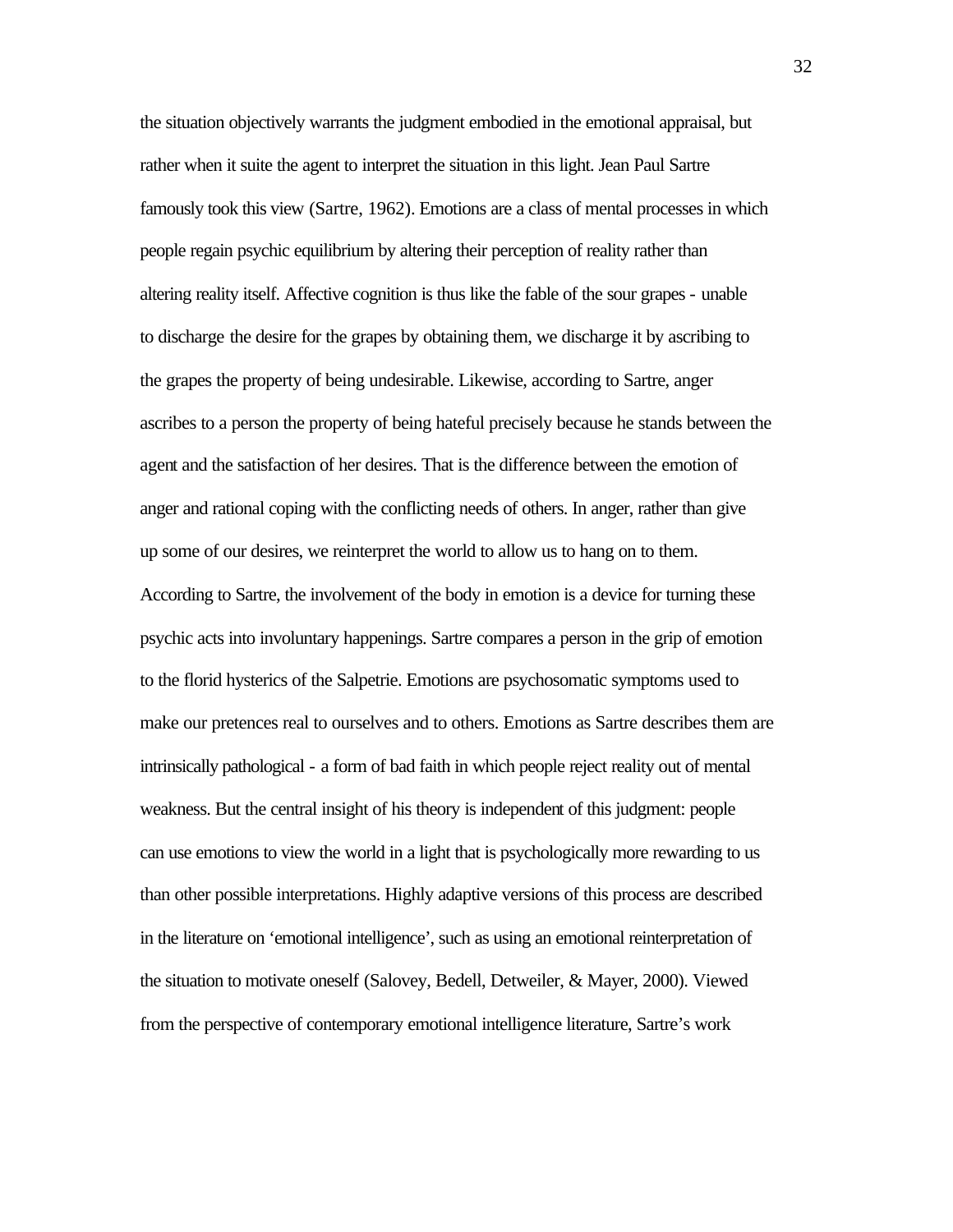the situation objectively warrants the judgment embodied in the emotional appraisal, but rather when it suite the agent to interpret the situation in this light. Jean Paul Sartre famously took this view (Sartre, 1962). Emotions are a class of mental processes in which people regain psychic equilibrium by altering their perception of reality rather than altering reality itself. Affective cognition is thus like the fable of the sour grapes - unable to discharge the desire for the grapes by obtaining them, we discharge it by ascribing to the grapes the property of being undesirable. Likewise, according to Sartre, anger ascribes to a person the property of being hateful precisely because he stands between the agent and the satisfaction of her desires. That is the difference between the emotion of anger and rational coping with the conflicting needs of others. In anger, rather than give up some of our desires, we reinterpret the world to allow us to hang on to them. According to Sartre, the involvement of the body in emotion is a device for turning these psychic acts into involuntary happenings. Sartre compares a person in the grip of emotion to the florid hysterics of the Salpetrie. Emotions are psychosomatic symptoms used to make our pretences real to ourselves and to others. Emotions as Sartre describes them are intrinsically pathological - a form of bad faith in which people reject reality out of mental weakness. But the central insight of his theory is independent of this judgment: people can use emotions to view the world in a light that is psychologically more rewarding to us than other possible interpretations. Highly adaptive versions of this process are described in the literature on 'emotional intelligence', such as using an emotional reinterpretation of the situation to motivate oneself (Salovey, Bedell, Detweiler, & Mayer, 2000). Viewed from the perspective of contemporary emotional intelligence literature, Sartre's work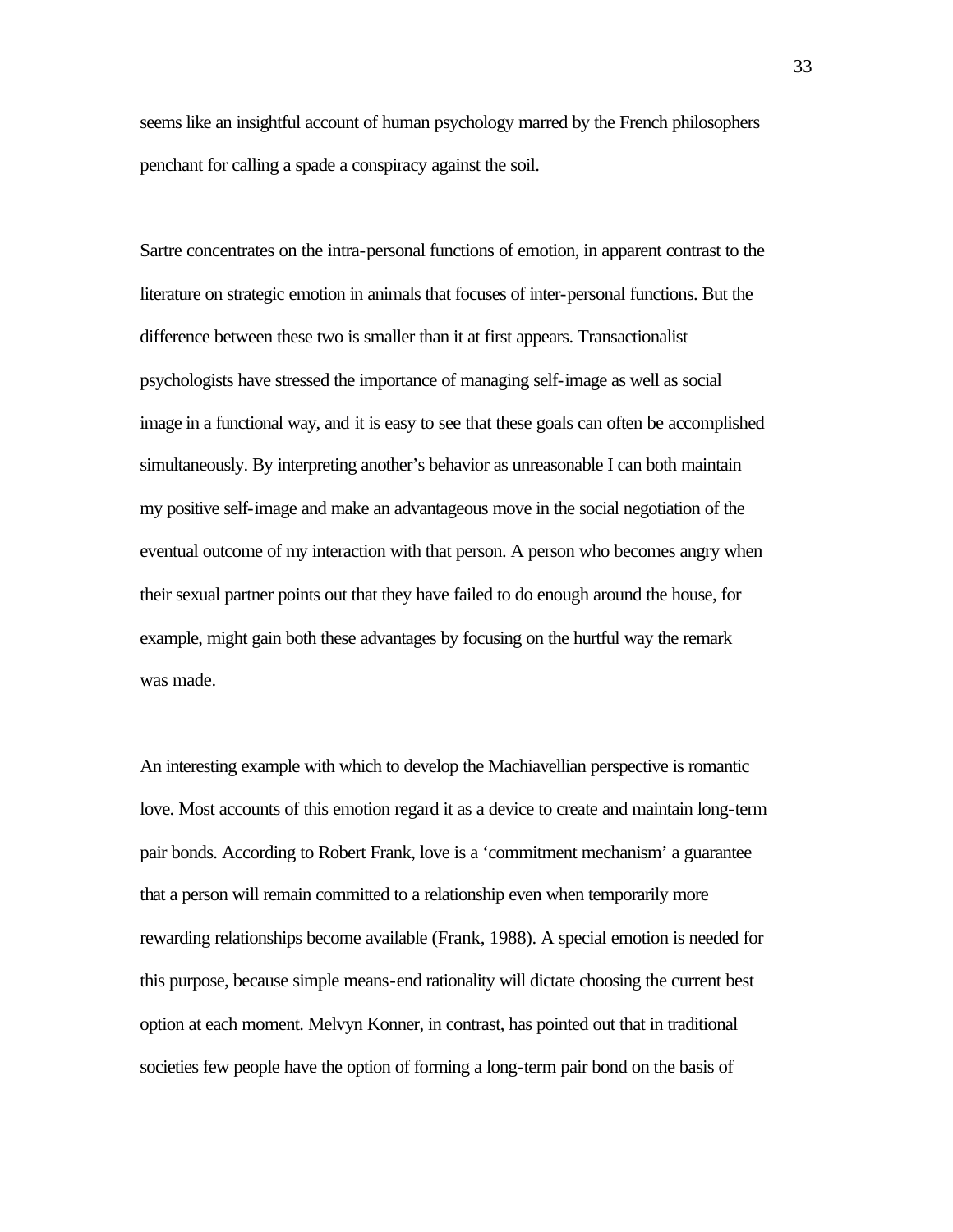seems like an insightful account of human psychology marred by the French philosophers penchant for calling a spade a conspiracy against the soil.

Sartre concentrates on the intra-personal functions of emotion, in apparent contrast to the literature on strategic emotion in animals that focuses of inter-personal functions. But the difference between these two is smaller than it at first appears. Transactionalist psychologists have stressed the importance of managing self-image as well as social image in a functional way, and it is easy to see that these goals can often be accomplished simultaneously. By interpreting another's behavior as unreasonable I can both maintain my positive self-image and make an advantageous move in the social negotiation of the eventual outcome of my interaction with that person. A person who becomes angry when their sexual partner points out that they have failed to do enough around the house, for example, might gain both these advantages by focusing on the hurtful way the remark was made.

An interesting example with which to develop the Machiavellian perspective is romantic love. Most accounts of this emotion regard it as a device to create and maintain long-term pair bonds. According to Robert Frank, love is a 'commitment mechanism' a guarantee that a person will remain committed to a relationship even when temporarily more rewarding relationships become available (Frank, 1988). A special emotion is needed for this purpose, because simple means-end rationality will dictate choosing the current best option at each moment. Melvyn Konner, in contrast, has pointed out that in traditional societies few people have the option of forming a long-term pair bond on the basis of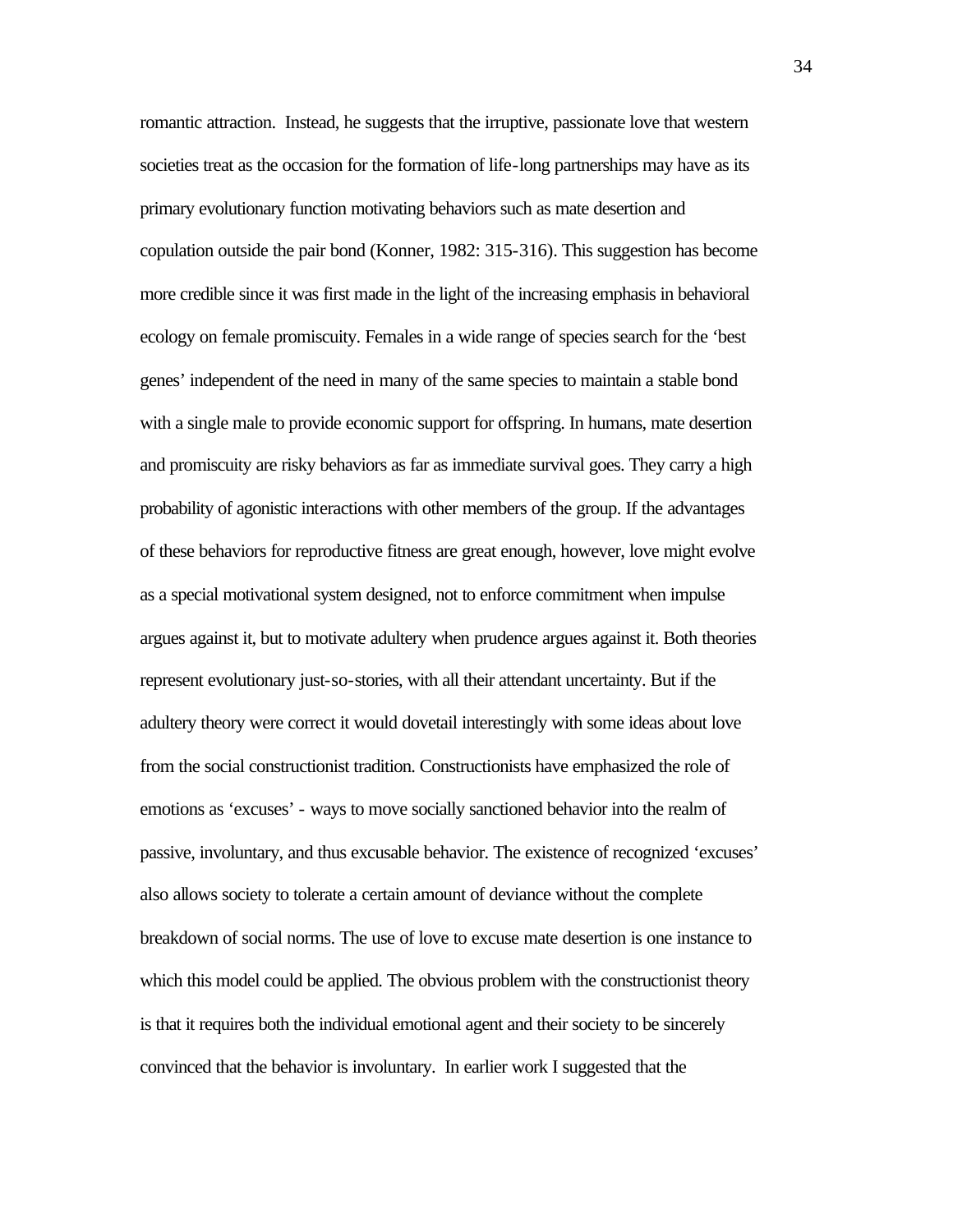romantic attraction. Instead, he suggests that the irruptive, passionate love that western societies treat as the occasion for the formation of life-long partnerships may have as its primary evolutionary function motivating behaviors such as mate desertion and copulation outside the pair bond (Konner, 1982: 315-316). This suggestion has become more credible since it was first made in the light of the increasing emphasis in behavioral ecology on female promiscuity. Females in a wide range of species search for the 'best genes' independent of the need in many of the same species to maintain a stable bond with a single male to provide economic support for offspring. In humans, mate desertion and promiscuity are risky behaviors as far as immediate survival goes. They carry a high probability of agonistic interactions with other members of the group. If the advantages of these behaviors for reproductive fitness are great enough, however, love might evolve as a special motivational system designed, not to enforce commitment when impulse argues against it, but to motivate adultery when prudence argues against it. Both theories represent evolutionary just-so-stories, with all their attendant uncertainty. But if the adultery theory were correct it would dovetail interestingly with some ideas about love from the social constructionist tradition. Constructionists have emphasized the role of emotions as 'excuses' - ways to move socially sanctioned behavior into the realm of passive, involuntary, and thus excusable behavior. The existence of recognized 'excuses' also allows society to tolerate a certain amount of deviance without the complete breakdown of social norms. The use of love to excuse mate desertion is one instance to which this model could be applied. The obvious problem with the constructionist theory is that it requires both the individual emotional agent and their society to be sincerely convinced that the behavior is involuntary. In earlier work I suggested that the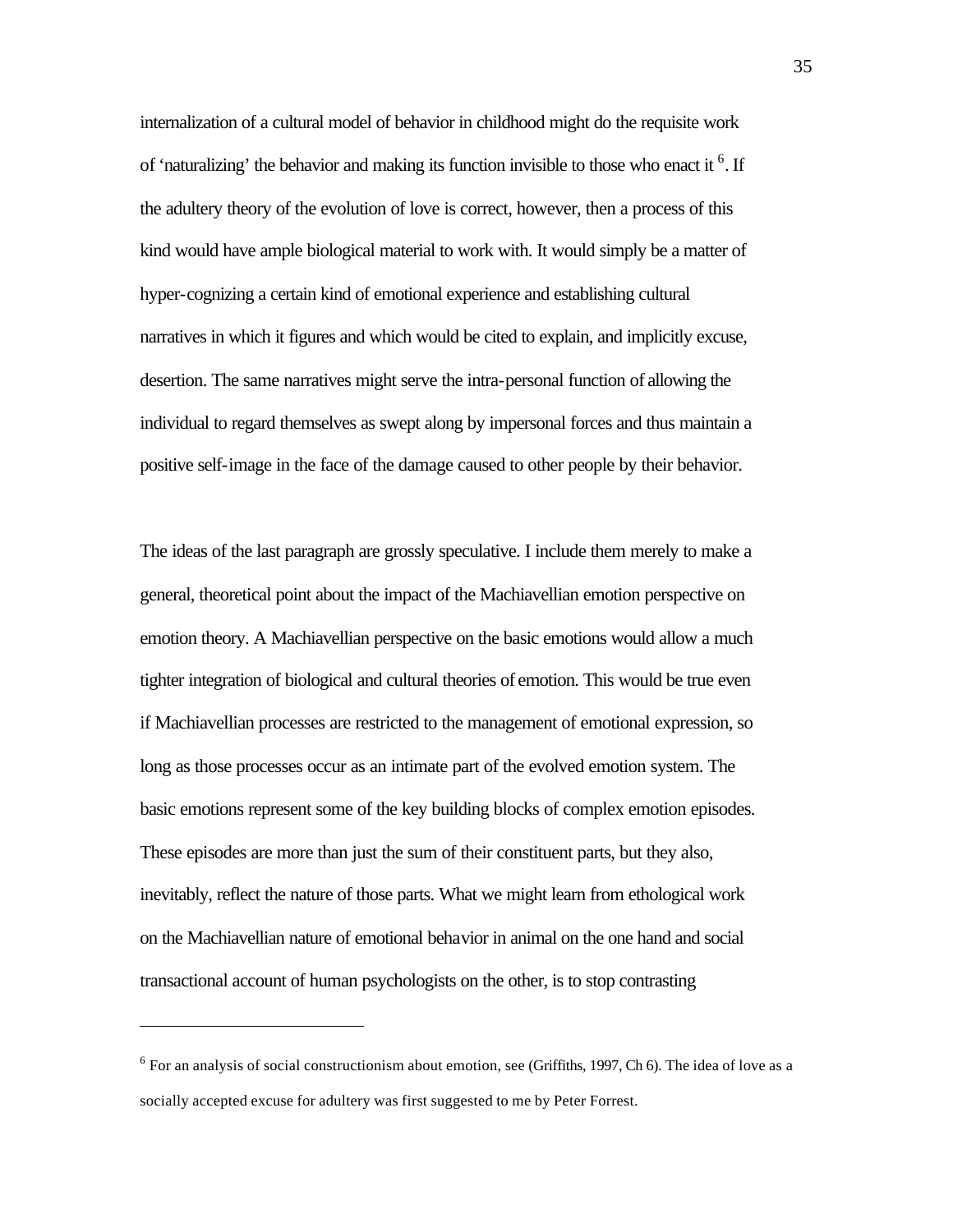internalization of a cultural model of behavior in childhood might do the requisite work of 'naturalizing' the behavior and making its function invisible to those who enact it <sup>6</sup>. If the adultery theory of the evolution of love is correct, however, then a process of this kind would have ample biological material to work with. It would simply be a matter of hyper-cognizing a certain kind of emotional experience and establishing cultural narratives in which it figures and which would be cited to explain, and implicitly excuse, desertion. The same narratives might serve the intra-personal function of allowing the individual to regard themselves as swept along by impersonal forces and thus maintain a positive self-image in the face of the damage caused to other people by their behavior.

The ideas of the last paragraph are grossly speculative. I include them merely to make a general, theoretical point about the impact of the Machiavellian emotion perspective on emotion theory. A Machiavellian perspective on the basic emotions would allow a much tighter integration of biological and cultural theories of emotion. This would be true even if Machiavellian processes are restricted to the management of emotional expression, so long as those processes occur as an intimate part of the evolved emotion system. The basic emotions represent some of the key building blocks of complex emotion episodes. These episodes are more than just the sum of their constituent parts, but they also, inevitably, reflect the nature of those parts. What we might learn from ethological work on the Machiavellian nature of emotional behavior in animal on the one hand and social transactional account of human psychologists on the other, is to stop contrasting

 $<sup>6</sup>$  For an analysis of social constructionism about emotion, see (Griffiths, 1997, Ch 6). The idea of love as a</sup> socially accepted excuse for adultery was first suggested to me by Peter Forrest.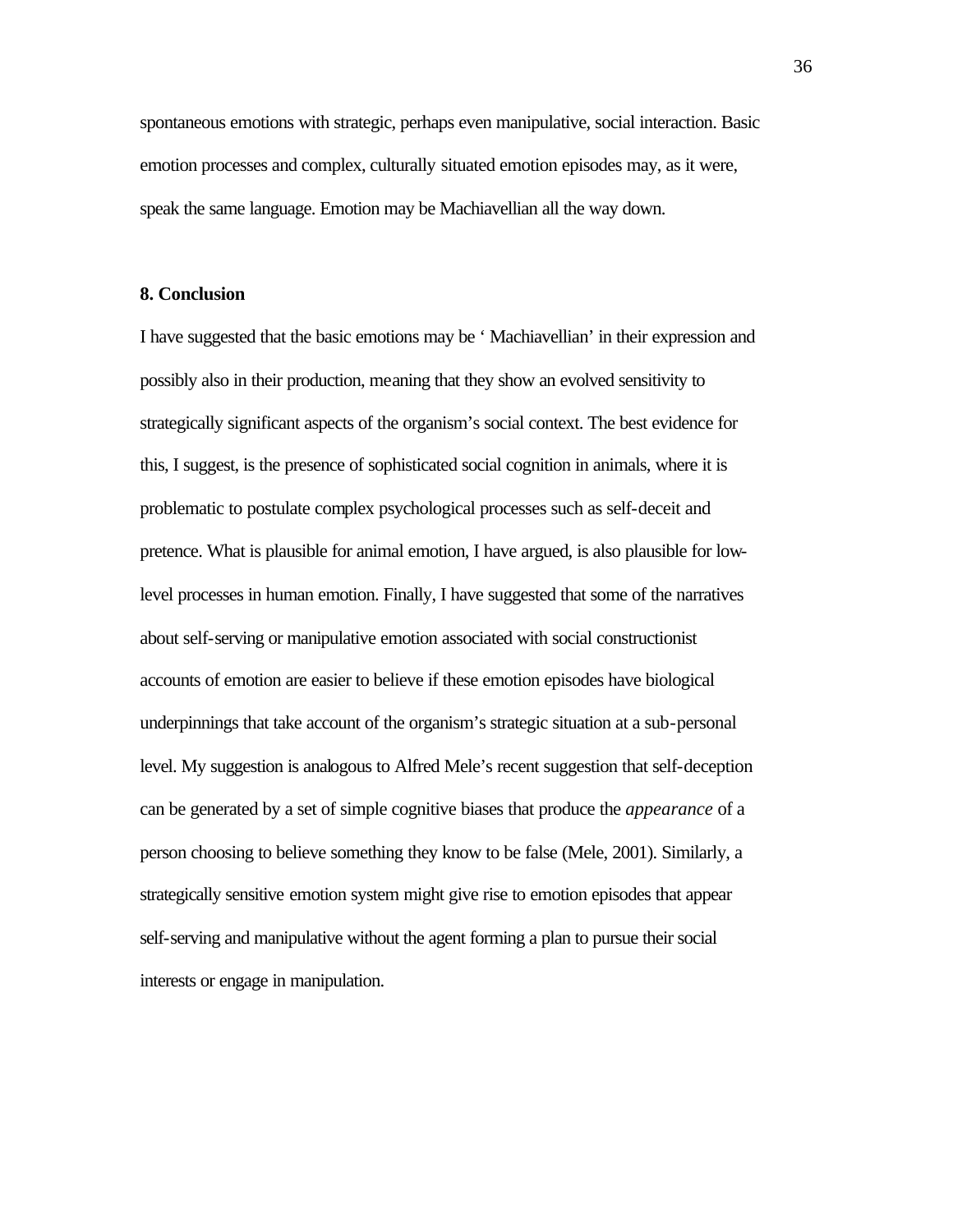spontaneous emotions with strategic, perhaps even manipulative, social interaction. Basic emotion processes and complex, culturally situated emotion episodes may, as it were, speak the same language. Emotion may be Machiavellian all the way down.

# **8. Conclusion**

I have suggested that the basic emotions may be ' Machiavellian' in their expression and possibly also in their production, meaning that they show an evolved sensitivity to strategically significant aspects of the organism's social context. The best evidence for this, I suggest, is the presence of sophisticated social cognition in animals, where it is problematic to postulate complex psychological processes such as self-deceit and pretence. What is plausible for animal emotion, I have argued, is also plausible for lowlevel processes in human emotion. Finally, I have suggested that some of the narratives about self-serving or manipulative emotion associated with social constructionist accounts of emotion are easier to believe if these emotion episodes have biological underpinnings that take account of the organism's strategic situation at a sub-personal level. My suggestion is analogous to Alfred Mele's recent suggestion that self-deception can be generated by a set of simple cognitive biases that produce the *appearance* of a person choosing to believe something they know to be false (Mele, 2001). Similarly, a strategically sensitive emotion system might give rise to emotion episodes that appear self-serving and manipulative without the agent forming a plan to pursue their social interests or engage in manipulation.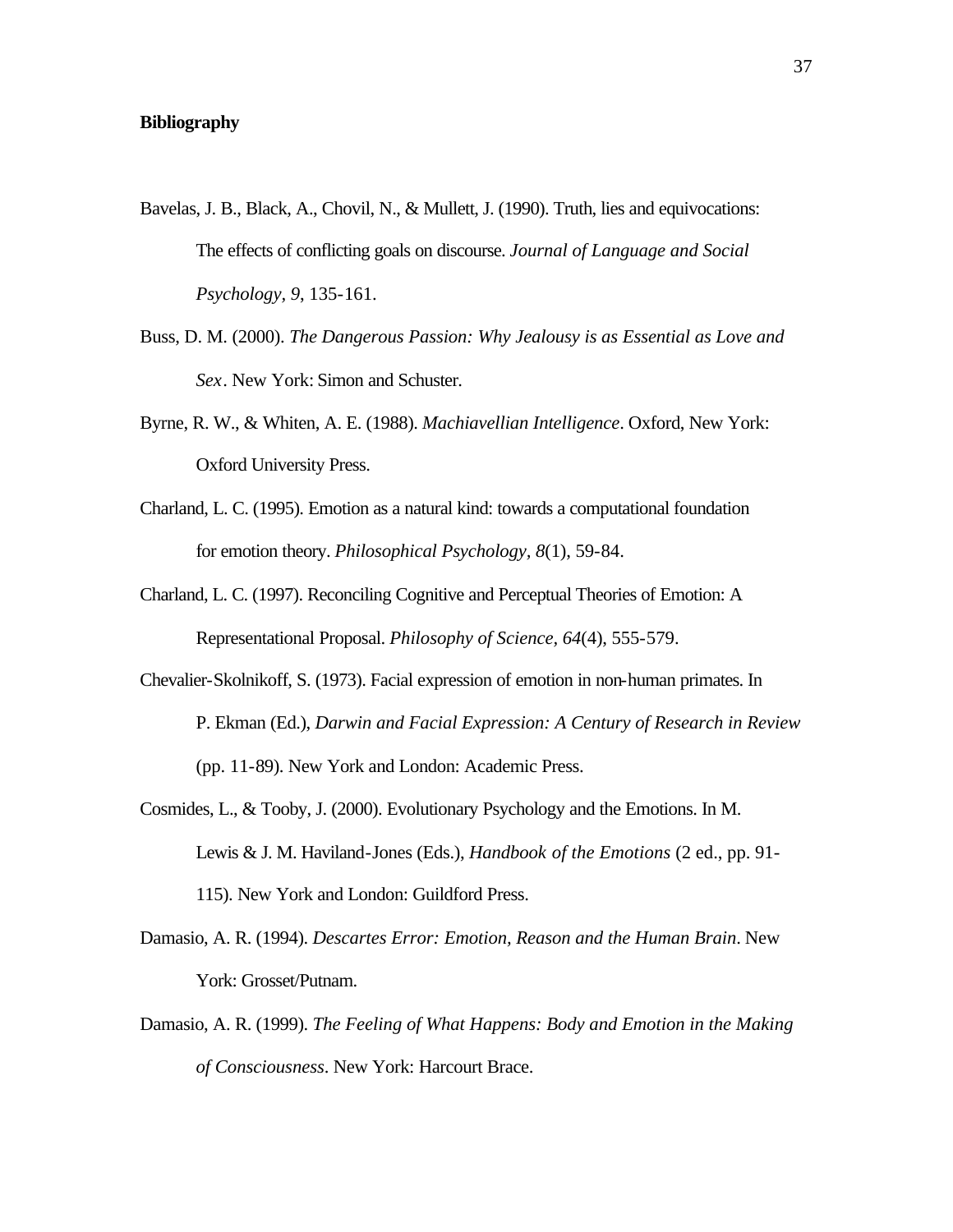## **Bibliography**

- Bavelas, J. B., Black, A., Chovil, N., & Mullett, J. (1990). Truth, lies and equivocations: The effects of conflicting goals on discourse. *Journal of Language and Social Psychology, 9*, 135-161.
- Buss, D. M. (2000). *The Dangerous Passion: Why Jealousy is as Essential as Love and Sex*. New York: Simon and Schuster.
- Byrne, R. W., & Whiten, A. E. (1988). *Machiavellian Intelligence*. Oxford, New York: Oxford University Press.
- Charland, L. C. (1995). Emotion as a natural kind: towards a computational foundation for emotion theory. *Philosophical Psychology, 8*(1), 59-84.
- Charland, L. C. (1997). Reconciling Cognitive and Perceptual Theories of Emotion: A Representational Proposal. *Philosophy of Science, 64*(4), 555-579.
- Chevalier-Skolnikoff, S. (1973). Facial expression of emotion in non-human primates. In P. Ekman (Ed.), *Darwin and Facial Expression: A Century of Research in Review* (pp. 11-89). New York and London: Academic Press.
- Cosmides, L., & Tooby, J. (2000). Evolutionary Psychology and the Emotions. In M. Lewis & J. M. Haviland-Jones (Eds.), *Handbook of the Emotions* (2 ed., pp. 91- 115). New York and London: Guildford Press.
- Damasio, A. R. (1994). *Descartes Error: Emotion, Reason and the Human Brain*. New York: Grosset/Putnam.
- Damasio, A. R. (1999). *The Feeling of What Happens: Body and Emotion in the Making of Consciousness*. New York: Harcourt Brace.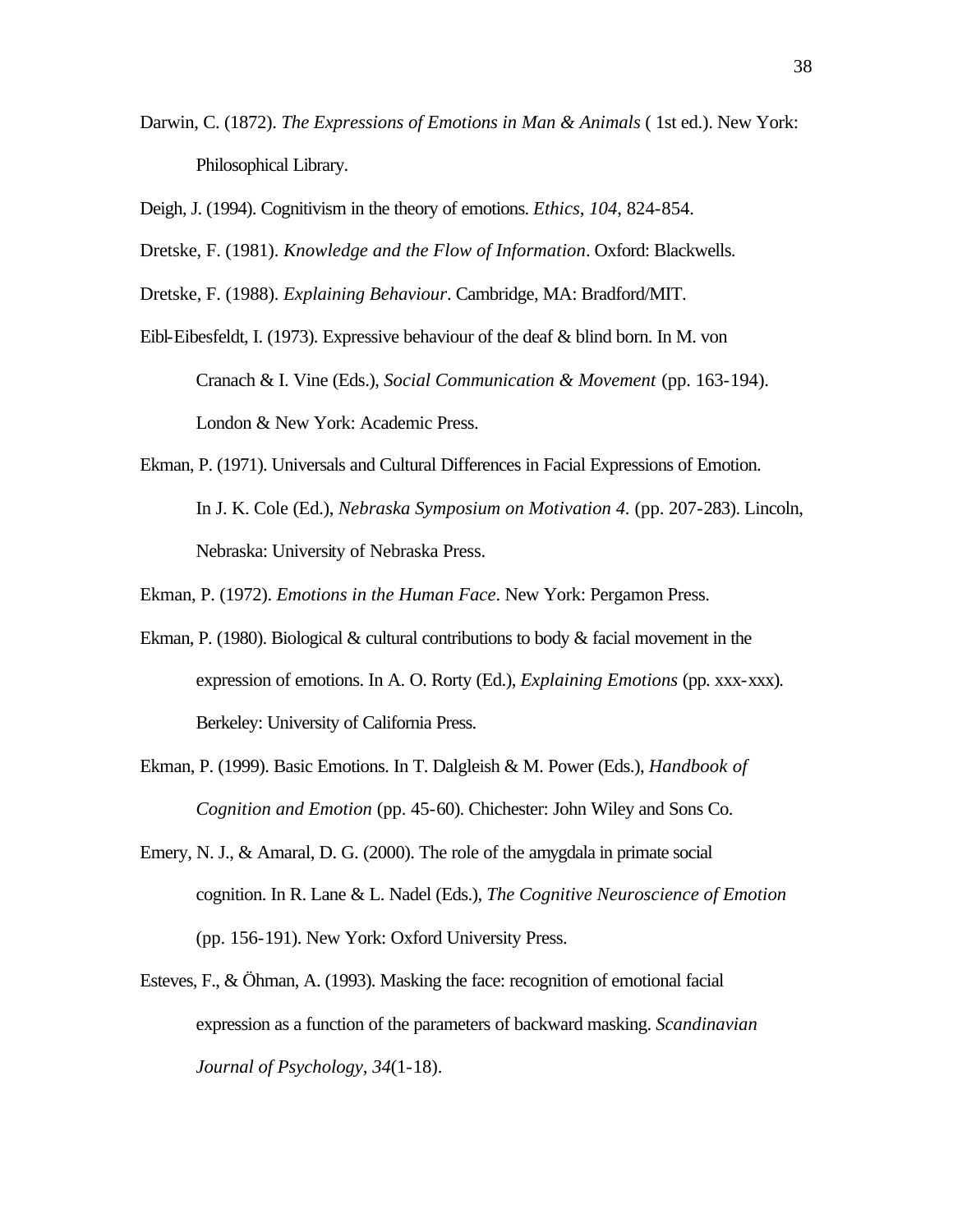- Darwin, C. (1872). *The Expressions of Emotions in Man & Animals* ( 1st ed.). New York: Philosophical Library.
- Deigh, J. (1994). Cognitivism in the theory of emotions. *Ethics, 104*, 824-854.
- Dretske, F. (1981). *Knowledge and the Flow of Information*. Oxford: Blackwells.
- Dretske, F. (1988). *Explaining Behaviour*. Cambridge, MA: Bradford/MIT.
- Eibl-Eibesfeldt, I. (1973). Expressive behaviour of the deaf & blind born. In M. von Cranach & I. Vine (Eds.), *Social Communication & Movement* (pp. 163-194). London & New York: Academic Press.
- Ekman, P. (1971). Universals and Cultural Differences in Facial Expressions of Emotion. In J. K. Cole (Ed.), *Nebraska Symposium on Motivation 4.* (pp. 207-283). Lincoln, Nebraska: University of Nebraska Press.
- Ekman, P. (1972). *Emotions in the Human Face*. New York: Pergamon Press.
- Ekman, P. (1980). Biological  $&$  cultural contributions to body  $&$  facial movement in the expression of emotions. In A. O. Rorty (Ed.), *Explaining Emotions* (pp. xxx-xxx). Berkeley: University of California Press.
- Ekman, P. (1999). Basic Emotions. In T. Dalgleish & M. Power (Eds.), *Handbook of Cognition and Emotion* (pp. 45-60). Chichester: John Wiley and Sons Co.
- Emery, N. J., & Amaral, D. G. (2000). The role of the amygdala in primate social cognition. In R. Lane & L. Nadel (Eds.), *The Cognitive Neuroscience of Emotion* (pp. 156-191). New York: Oxford University Press.
- Esteves, F., & Öhman, A. (1993). Masking the face: recognition of emotional facial expression as a function of the parameters of backward masking. *Scandinavian Journal of Psychology, 34*(1-18).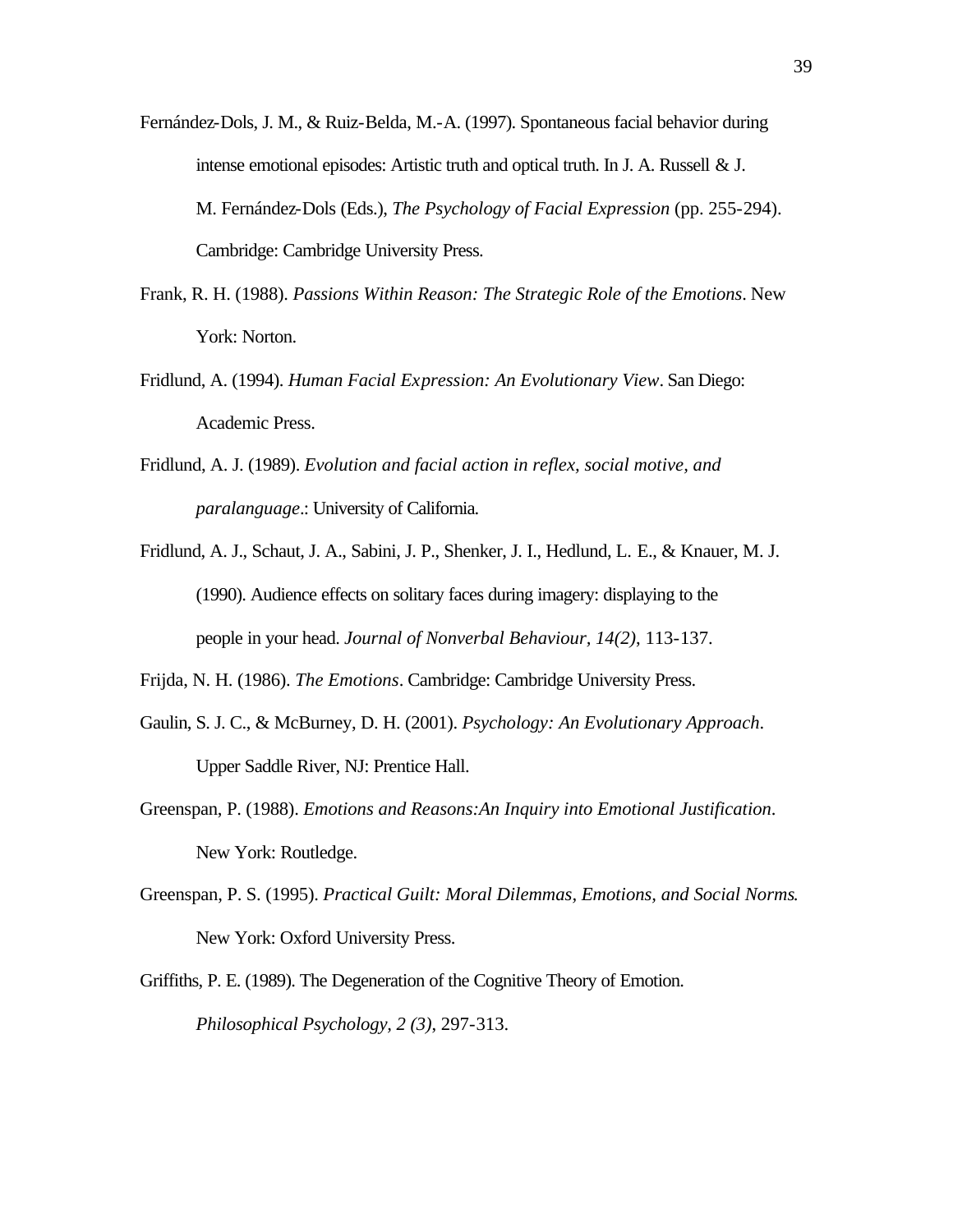- Fernández-Dols, J. M., & Ruiz-Belda, M.-A. (1997). Spontaneous facial behavior during intense emotional episodes: Artistic truth and optical truth. In J. A. Russell & J. M. Fernández-Dols (Eds.), *The Psychology of Facial Expression* (pp. 255-294). Cambridge: Cambridge University Press.
- Frank, R. H. (1988). *Passions Within Reason: The Strategic Role of the Emotions*. New York: Norton.
- Fridlund, A. (1994). *Human Facial Expression: An Evolutionary View*. San Diego: Academic Press.
- Fridlund, A. J. (1989). *Evolution and facial action in reflex, social motive, and paralanguage*.: University of California.
- Fridlund, A. J., Schaut, J. A., Sabini, J. P., Shenker, J. I., Hedlund, L. E., & Knauer, M. J. (1990). Audience effects on solitary faces during imagery: displaying to the people in your head. *Journal of Nonverbal Behaviour, 14(2)*, 113-137.

Frijda, N. H. (1986). *The Emotions*. Cambridge: Cambridge University Press.

- Gaulin, S. J. C., & McBurney, D. H. (2001). *Psychology: An Evolutionary Approach*. Upper Saddle River, NJ: Prentice Hall.
- Greenspan, P. (1988). *Emotions and Reasons:An Inquiry into Emotional Justification*. New York: Routledge.
- Greenspan, P. S. (1995). *Practical Guilt: Moral Dilemmas, Emotions, and Social Norms*. New York: Oxford University Press.
- Griffiths, P. E. (1989). The Degeneration of the Cognitive Theory of Emotion. *Philosophical Psychology, 2 (3)*, 297-313.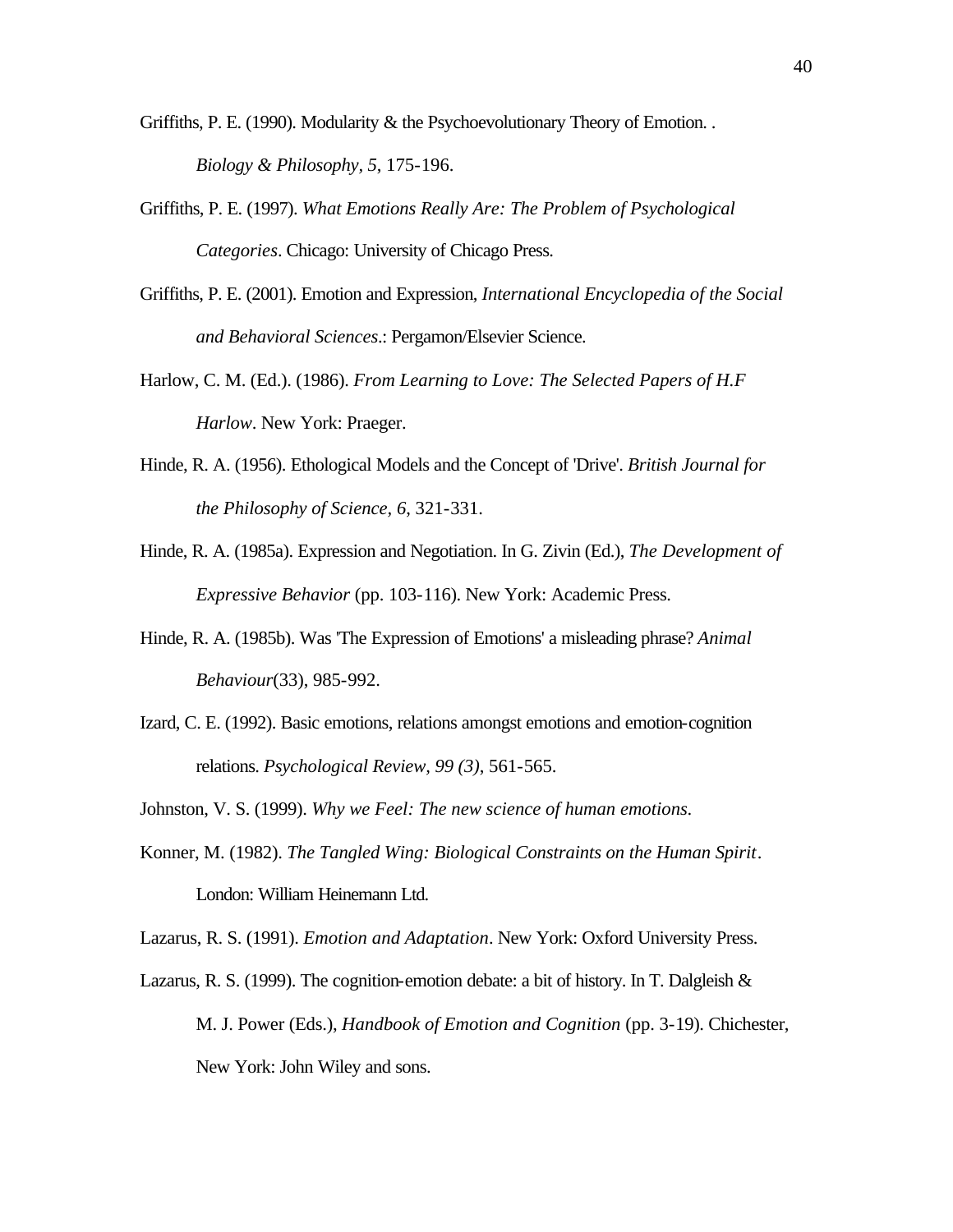- Griffiths, P. E. (1990). Modularity & the Psychoevolutionary Theory of Emotion. . *Biology & Philosophy, 5*, 175-196.
- Griffiths, P. E. (1997). *What Emotions Really Are: The Problem of Psychological Categories*. Chicago: University of Chicago Press.
- Griffiths, P. E. (2001). Emotion and Expression, *International Encyclopedia of the Social and Behavioral Sciences*.: Pergamon/Elsevier Science.
- Harlow, C. M. (Ed.). (1986). *From Learning to Love: The Selected Papers of H.F Harlow*. New York: Praeger.
- Hinde, R. A. (1956). Ethological Models and the Concept of 'Drive'. *British Journal for the Philosophy of Science, 6*, 321-331.
- Hinde, R. A. (1985a). Expression and Negotiation. In G. Zivin (Ed.), *The Development of Expressive Behavior* (pp. 103-116). New York: Academic Press.
- Hinde, R. A. (1985b). Was 'The Expression of Emotions' a misleading phrase? *Animal Behaviour*(33), 985-992.
- Izard, C. E. (1992). Basic emotions, relations amongst emotions and emotion-cognition relations. *Psychological Review, 99 (3)*, 561-565.
- Johnston, V. S. (1999). *Why we Feel: The new science of human emotions*.
- Konner, M. (1982). *The Tangled Wing: Biological Constraints on the Human Spirit*. London: William Heinemann Ltd.

Lazarus, R. S. (1991). *Emotion and Adaptation*. New York: Oxford University Press.

Lazarus, R. S. (1999). The cognition-emotion debate: a bit of history. In T. Dalgleish  $\&$ M. J. Power (Eds.), *Handbook of Emotion and Cognition* (pp. 3-19). Chichester, New York: John Wiley and sons.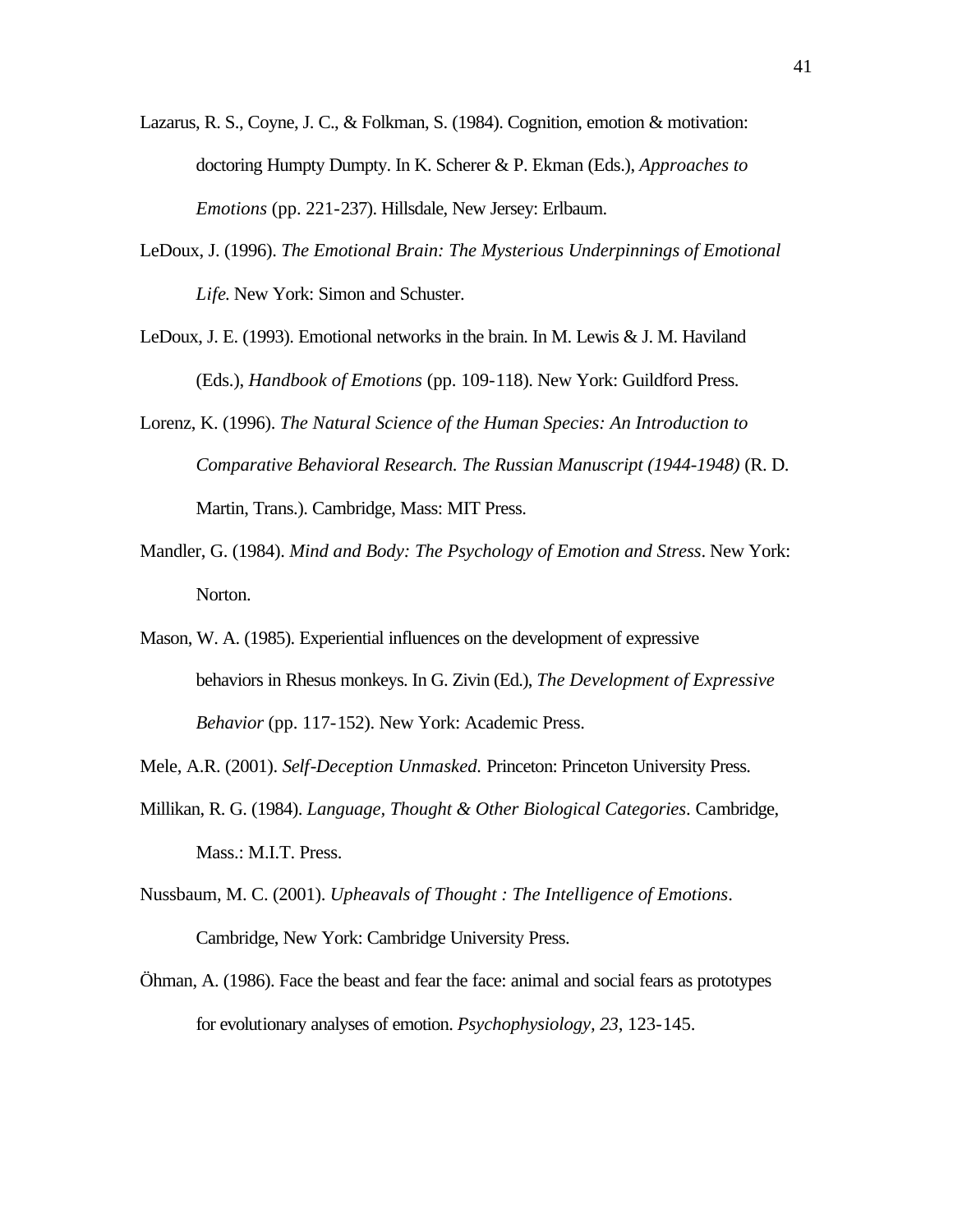- Lazarus, R. S., Coyne, J. C., & Folkman, S. (1984). Cognition, emotion & motivation: doctoring Humpty Dumpty. In K. Scherer & P. Ekman (Eds.), *Approaches to Emotions* (pp. 221-237). Hillsdale, New Jersey: Erlbaum.
- LeDoux, J. (1996). *The Emotional Brain: The Mysterious Underpinnings of Emotional Life*. New York: Simon and Schuster.
- LeDoux, J. E. (1993). Emotional networks in the brain. In M. Lewis & J. M. Haviland (Eds.), *Handbook of Emotions* (pp. 109-118). New York: Guildford Press.
- Lorenz, K. (1996). *The Natural Science of the Human Species: An Introduction to Comparative Behavioral Research. The Russian Manuscript (1944-1948)* (R. D. Martin, Trans.). Cambridge, Mass: MIT Press.
- Mandler, G. (1984). *Mind and Body: The Psychology of Emotion and Stress*. New York: Norton.
- Mason, W. A. (1985). Experiential influences on the development of expressive behaviors in Rhesus monkeys. In G. Zivin (Ed.), *The Development of Expressive Behavior* (pp. 117-152). New York: Academic Press.
- Mele, A.R. (2001). *Self-Deception Unmasked.* Princeton: Princeton University Press.
- Millikan, R. G. (1984). *Language, Thought & Other Biological Categories*. Cambridge, Mass.: M.I.T. Press.
- Nussbaum, M. C. (2001). *Upheavals of Thought : The Intelligence of Emotions*. Cambridge, New York: Cambridge University Press.
- Öhman, A. (1986). Face the beast and fear the face: animal and social fears as prototypes for evolutionary analyses of emotion. *Psychophysiology, 23*, 123-145.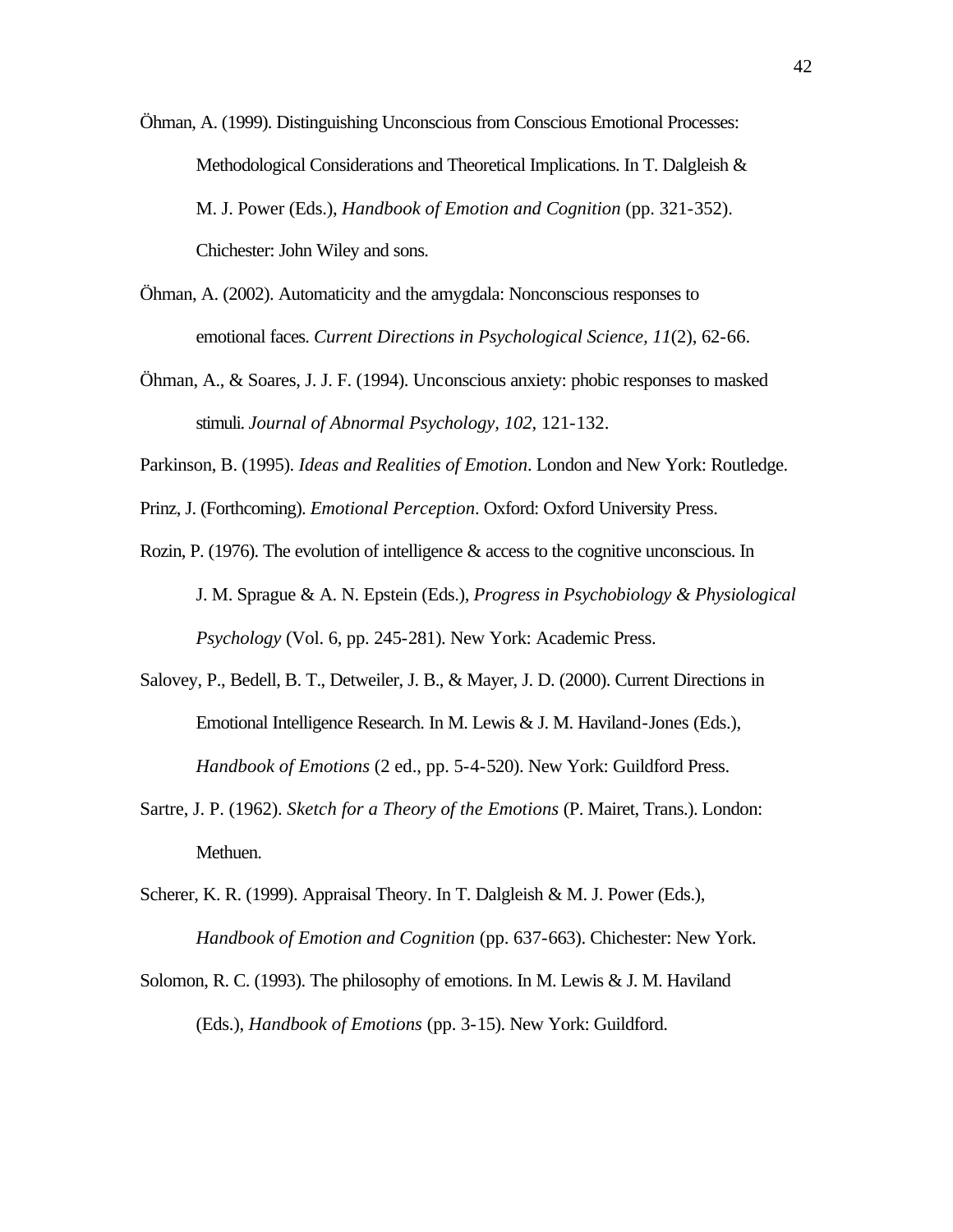- Öhman, A. (1999). Distinguishing Unconscious from Conscious Emotional Processes: Methodological Considerations and Theoretical Implications. In T. Dalgleish & M. J. Power (Eds.), *Handbook of Emotion and Cognition* (pp. 321-352). Chichester: John Wiley and sons.
- Öhman, A. (2002). Automaticity and the amygdala: Nonconscious responses to emotional faces. *Current Directions in Psychological Science, 11*(2), 62-66.
- Öhman, A., & Soares, J. J. F. (1994). Unconscious anxiety: phobic responses to masked stimuli. *Journal of Abnormal Psychology, 102*, 121-132.
- Parkinson, B. (1995). *Ideas and Realities of Emotion*. London and New York: Routledge.

Prinz, J. (Forthcoming). *Emotional Perception*. Oxford: Oxford University Press.

- Rozin, P. (1976). The evolution of intelligence & access to the cognitive unconscious. In J. M. Sprague & A. N. Epstein (Eds.), *Progress in Psychobiology & Physiological Psychology* (Vol. 6, pp. 245-281). New York: Academic Press.
- Salovey, P., Bedell, B. T., Detweiler, J. B., & Mayer, J. D. (2000). Current Directions in Emotional Intelligence Research. In M. Lewis & J. M. Haviland-Jones (Eds.), *Handbook of Emotions* (2 ed., pp. 5-4-520). New York: Guildford Press.
- Sartre, J. P. (1962). *Sketch for a Theory of the Emotions* (P. Mairet, Trans.). London: Methuen.
- Scherer, K. R. (1999). Appraisal Theory. In T. Dalgleish & M. J. Power (Eds.), *Handbook of Emotion and Cognition* (pp. 637-663). Chichester: New York.
- Solomon, R. C. (1993). The philosophy of emotions. In M. Lewis & J. M. Haviland (Eds.), *Handbook of Emotions* (pp. 3-15). New York: Guildford.